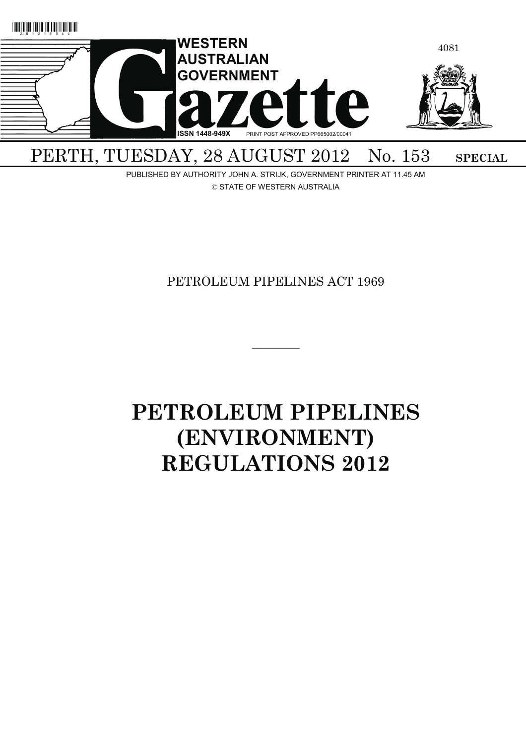

PUBLISHED BY AUTHORITY JOHN A. STRIJK, GOVERNMENT PRINTER AT 11.45 AM © STATE OF WESTERN AUSTRALIA

# PETROLEUM PIPELINES ACT 1969

 $\overline{\phantom{a}}$ 

# **PETROLEUM PIPELINES (ENVIRONMENT) REGULATIONS 2012**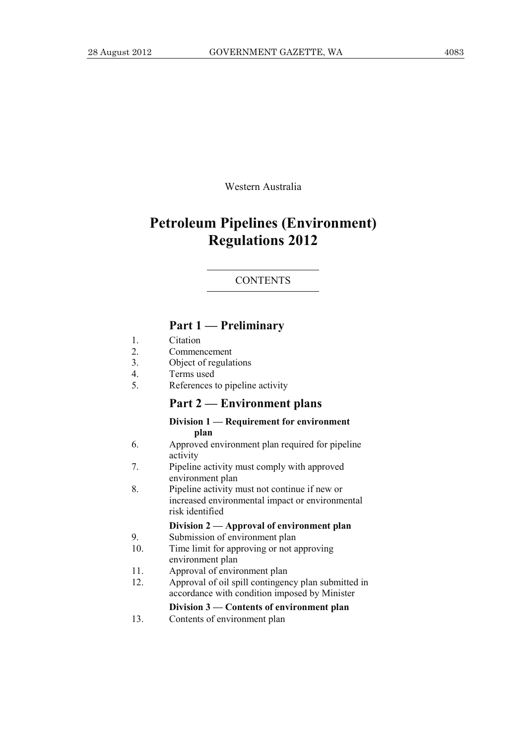Western Australia

# **Petroleum Pipelines (Environment) Regulations 2012**

#### **CONTENTS**

# **Part 1 — Preliminary**

- 1. Citation
- 2. Commencement
- 3. Object of regulations
- 4. Terms used
- 5. References to pipeline activity

# **Part 2 — Environment plans**

#### **Division 1 — Requirement for environment plan**

- 6. Approved environment plan required for pipeline activity
- 7. Pipeline activity must comply with approved environment plan
- 8. Pipeline activity must not continue if new or increased environmental impact or environmental risk identified

# **Division 2 — Approval of environment plan**

- 9. Submission of environment plan
- 10. Time limit for approving or not approving environment plan
- 11. Approval of environment plan
- 12. Approval of oil spill contingency plan submitted in accordance with condition imposed by Minister

#### **Division 3 — Contents of environment plan**

13. Contents of environment plan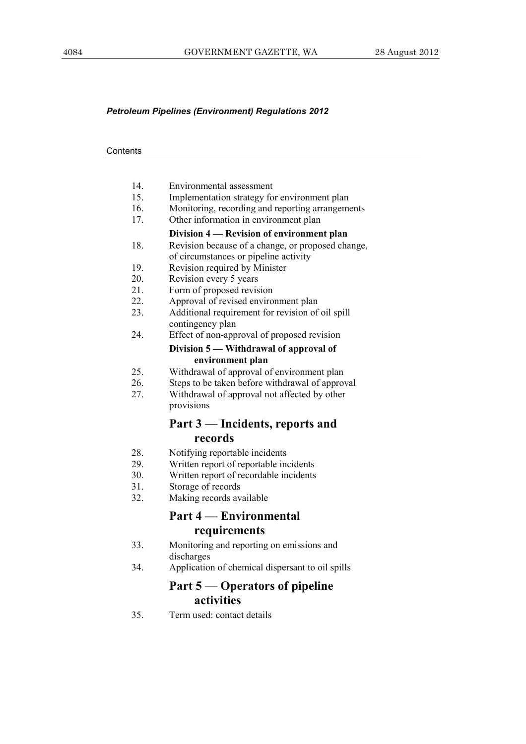#### *Petroleum Pipelines (Environment) Regulations 2012*

#### **Contents**

- 14. Environmental assessment
- 15. Implementation strategy for environment plan
- 16. Monitoring, recording and reporting arrangements
- 17. Other information in environment plan

#### **Division 4 — Revision of environment plan**

- 18. Revision because of a change, or proposed change, of circumstances or pipeline activity
- 19. Revision required by Minister
- 20. Revision every 5 years
- 21. Form of proposed revision
- 22. Approval of revised environment plan
- 23. Additional requirement for revision of oil spill contingency plan
- 24. Effect of non-approval of proposed revision

#### **Division 5 — Withdrawal of approval of environment plan**

- 25. Withdrawal of approval of environment plan
- 26. Steps to be taken before withdrawal of approval
- 27. Withdrawal of approval not affected by other provisions

# **Part 3 — Incidents, reports and records**

- 28. Notifying reportable incidents
- 29. Written report of reportable incidents
- 30. Written report of recordable incidents
- 31. Storage of records
- 32. Making records available

# **Part 4 — Environmental requirements**

- 33. Monitoring and reporting on emissions and discharges
- 34. Application of chemical dispersant to oil spills

# **Part 5 — Operators of pipeline activities**

35. Term used: contact details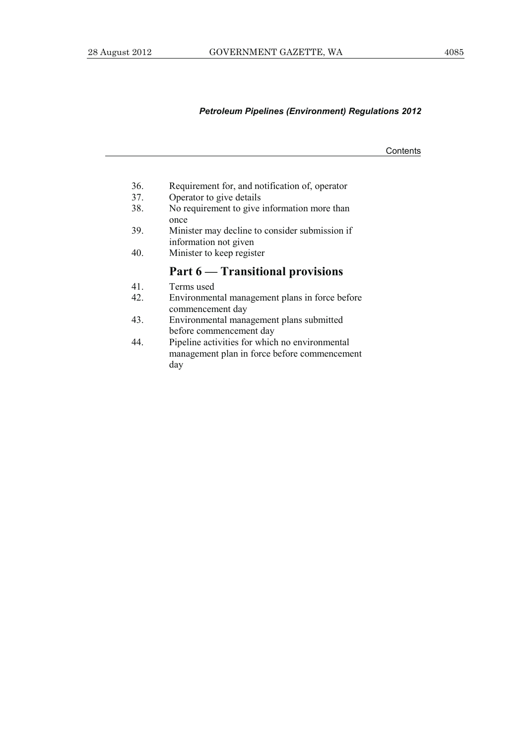# *Petroleum Pipelines (Environment) Regulations 2012*

**Contents** 

- 36. Requirement for, and notification of, operator
- 37. Operator to give details<br>38. No requirement to give
- No requirement to give information more than once
- 39. Minister may decline to consider submission if information not given
- 40. Minister to keep register

# **Part 6 — Transitional provisions**

- 41. Terms used
- 42. Environmental management plans in force before commencement day
- 43. Environmental management plans submitted before commencement day
- 44. Pipeline activities for which no environmental management plan in force before commencement day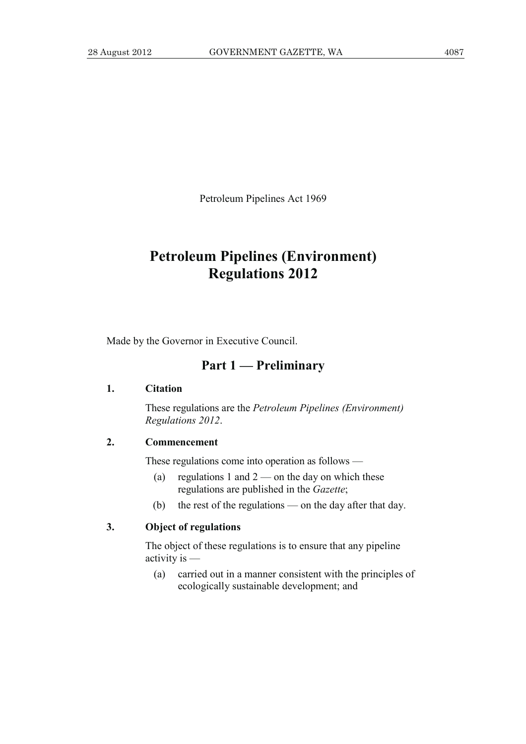Petroleum Pipelines Act 1969

# **Petroleum Pipelines (Environment) Regulations 2012**

Made by the Governor in Executive Council.

# **Part 1 — Preliminary**

#### **1. Citation**

 These regulations are the *Petroleum Pipelines (Environment) Regulations 2012*.

# **2. Commencement**

These regulations come into operation as follows —

- (a) regulations 1 and  $2$  on the day on which these regulations are published in the *Gazette*;
- (b) the rest of the regulations on the day after that day.

# **3. Object of regulations**

 The object of these regulations is to ensure that any pipeline activity is —

 (a) carried out in a manner consistent with the principles of ecologically sustainable development; and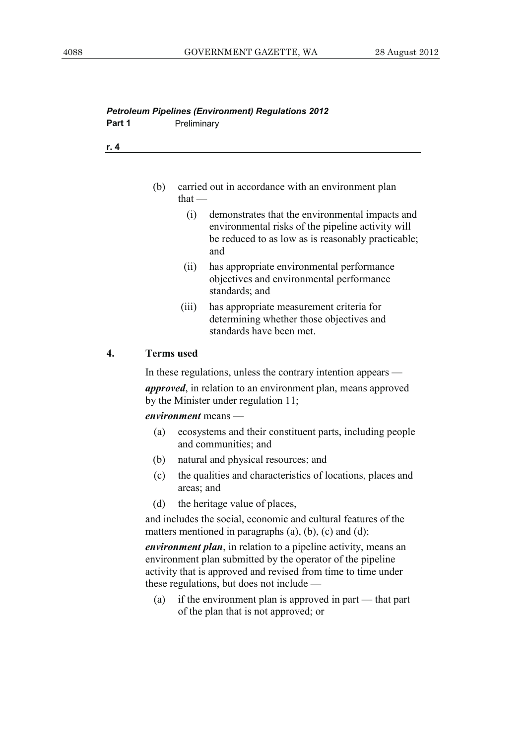# *Petroleum Pipelines (Environment) Regulations 2012*  **Part 1** Preliminary

**r. 4**

- (b) carried out in accordance with an environment plan that $-$ 
	- (i) demonstrates that the environmental impacts and environmental risks of the pipeline activity will be reduced to as low as is reasonably practicable; and
	- (ii) has appropriate environmental performance objectives and environmental performance standards; and
	- (iii) has appropriate measurement criteria for determining whether those objectives and standards have been met.

# **4. Terms used**

In these regulations, unless the contrary intention appears —

*approved*, in relation to an environment plan, means approved by the Minister under regulation 11;

#### *environment* means —

- (a) ecosystems and their constituent parts, including people and communities; and
- (b) natural and physical resources; and
- (c) the qualities and characteristics of locations, places and areas; and
- (d) the heritage value of places,

 and includes the social, economic and cultural features of the matters mentioned in paragraphs  $(a)$ ,  $(b)$ ,  $(c)$  and  $(d)$ ;

*environment plan*, in relation to a pipeline activity, means an environment plan submitted by the operator of the pipeline activity that is approved and revised from time to time under these regulations, but does not include —

 (a) if the environment plan is approved in part — that part of the plan that is not approved; or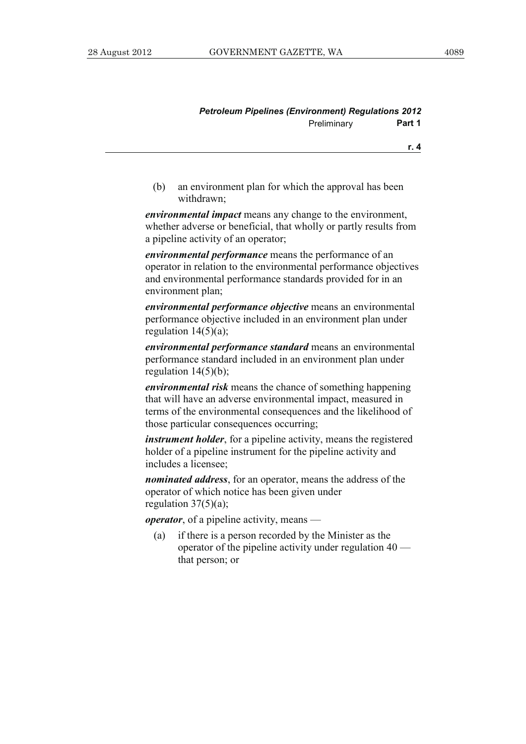| <b>Petroleum Pipelines (Environment) Regulations 2012</b> |             |        |
|-----------------------------------------------------------|-------------|--------|
|                                                           | Preliminary | Part 1 |

**r. 4**

 (b) an environment plan for which the approval has been withdrawn;

*environmental impact* means any change to the environment, whether adverse or beneficial, that wholly or partly results from a pipeline activity of an operator;

*environmental performance* means the performance of an operator in relation to the environmental performance objectives and environmental performance standards provided for in an environment plan;

*environmental performance objective* means an environmental performance objective included in an environment plan under regulation  $14(5)(a)$ ;

*environmental performance standard* means an environmental performance standard included in an environment plan under regulation  $14(5)(b)$ ;

*environmental risk* means the chance of something happening that will have an adverse environmental impact, measured in terms of the environmental consequences and the likelihood of those particular consequences occurring;

*instrument holder*, for a pipeline activity, means the registered holder of a pipeline instrument for the pipeline activity and includes a licensee;

*nominated address*, for an operator, means the address of the operator of which notice has been given under regulation  $37(5)(a)$ ;

*operator*, of a pipeline activity, means —

 (a) if there is a person recorded by the Minister as the operator of the pipeline activity under regulation 40 that person; or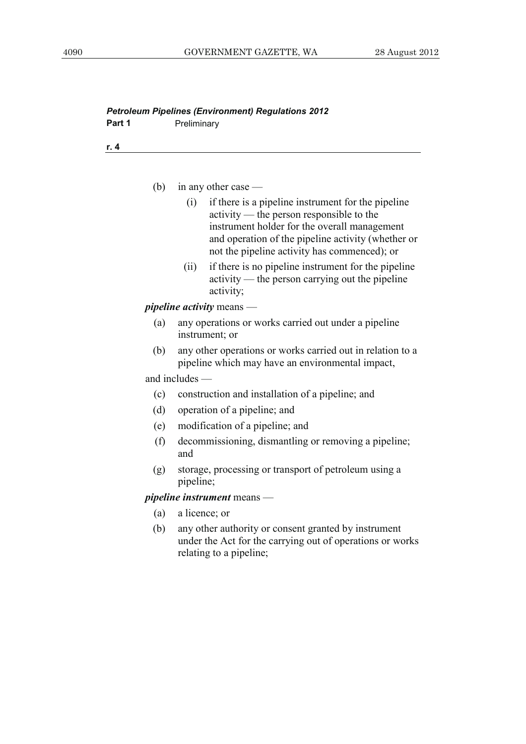| (b) | in any other case $-$                                                                                                                                                                                                                                       |
|-----|-------------------------------------------------------------------------------------------------------------------------------------------------------------------------------------------------------------------------------------------------------------|
|     | if there is a pipeline instrument for the pipeline<br>(i)<br>activity — the person responsible to the<br>instrument holder for the overall management<br>and operation of the pipeline activity (whether or<br>not the pipeline activity has commenced); or |
|     | if there is no pipeline instrument for the pipeline<br>(ii)<br>activity — the person carrying out the pipeline<br>activity;                                                                                                                                 |
|     | <i>pipeline activity means -</i>                                                                                                                                                                                                                            |
| (a) | any operations or works carried out under a pipeline<br>instrument; or                                                                                                                                                                                      |
| (b) | any other operations or works carried out in relation to a<br>pipeline which may have an environmental impact,                                                                                                                                              |
|     | and includes —                                                                                                                                                                                                                                              |
| (c) | construction and installation of a pipeline; and                                                                                                                                                                                                            |
| (d) | operation of a pipeline; and                                                                                                                                                                                                                                |
| (e) | modification of a pipeline; and                                                                                                                                                                                                                             |
| (f) | decommissioning, dismantling or removing a pipeline;<br>and                                                                                                                                                                                                 |
| (g) | storage, processing or transport of petroleum using a<br>pipeline;                                                                                                                                                                                          |
|     | <i>pipeline instrument</i> means —                                                                                                                                                                                                                          |
| (a) | a licence; or                                                                                                                                                                                                                                               |
|     | (b) any other authority or consent granted by instrument<br>under the Act for the carrying out of operations or works<br>relating to a pipeline;                                                                                                            |
|     |                                                                                                                                                                                                                                                             |

# *Petroleum Pipelines (Environment) Regulations 2012*  Part 1 **Preliminary**

**r. 4**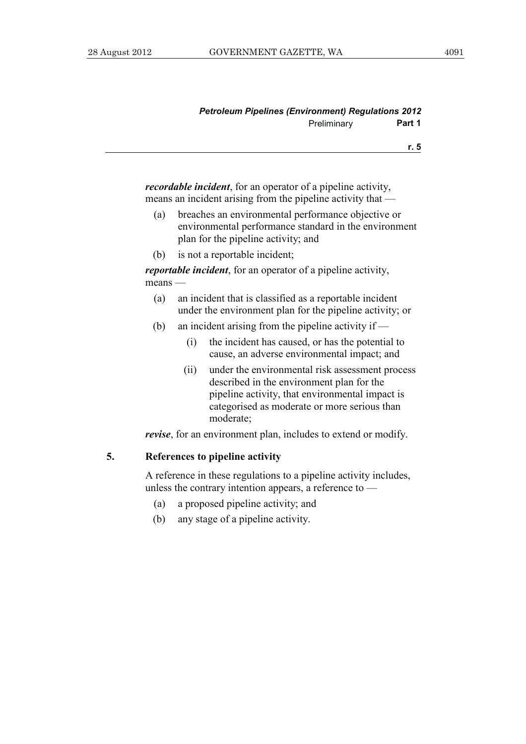| <b>Petroleum Pipelines (Environment) Regulations 2012</b> |             |        |
|-----------------------------------------------------------|-------------|--------|
|                                                           | Preliminary | Part 1 |

**r. 5**

*recordable incident*, for an operator of a pipeline activity, means an incident arising from the pipeline activity that —

- (a) breaches an environmental performance objective or environmental performance standard in the environment plan for the pipeline activity; and
- (b) is not a reportable incident;

*reportable incident*, for an operator of a pipeline activity, means —

- (a) an incident that is classified as a reportable incident under the environment plan for the pipeline activity; or
- (b) an incident arising from the pipeline activity if
	- (i) the incident has caused, or has the potential to cause, an adverse environmental impact; and
	- (ii) under the environmental risk assessment process described in the environment plan for the pipeline activity, that environmental impact is categorised as moderate or more serious than moderate;

*revise*, for an environment plan, includes to extend or modify.

# **5. References to pipeline activity**

 A reference in these regulations to a pipeline activity includes, unless the contrary intention appears, a reference to —

- (a) a proposed pipeline activity; and
- (b) any stage of a pipeline activity.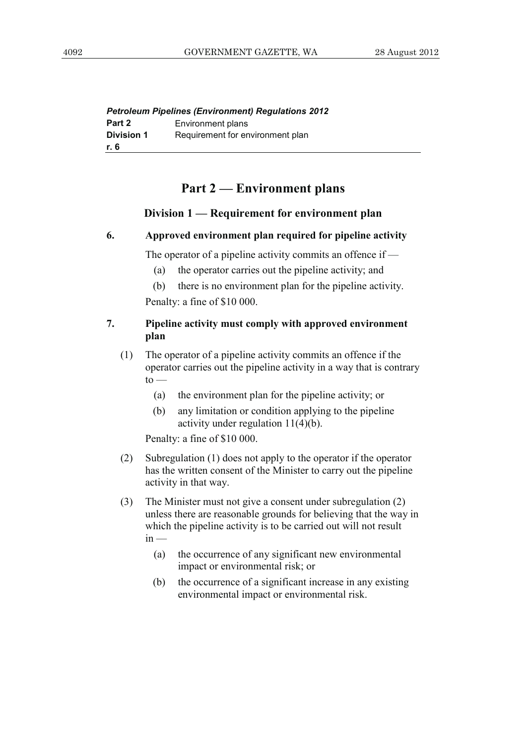|                   | <b>Petroleum Pipelines (Environment) Regulations 2012</b> |
|-------------------|-----------------------------------------------------------|
| Part 2            | Environment plans                                         |
| <b>Division 1</b> | Requirement for environment plan                          |
| r. 6              |                                                           |

# **Part 2 — Environment plans**

# **Division 1 — Requirement for environment plan**

# **6. Approved environment plan required for pipeline activity**

The operator of a pipeline activity commits an offence if —

(a) the operator carries out the pipeline activity; and

 (b) there is no environment plan for the pipeline activity. Penalty: a fine of \$10 000.

# **7. Pipeline activity must comply with approved environment plan**

- (1) The operator of a pipeline activity commits an offence if the operator carries out the pipeline activity in a way that is contrary  $to$ 
	- (a) the environment plan for the pipeline activity; or
	- (b) any limitation or condition applying to the pipeline activity under regulation 11(4)(b).

Penalty: a fine of \$10 000.

- (2) Subregulation (1) does not apply to the operator if the operator has the written consent of the Minister to carry out the pipeline activity in that way.
- (3) The Minister must not give a consent under subregulation (2) unless there are reasonable grounds for believing that the way in which the pipeline activity is to be carried out will not result  $in -$ 
	- (a) the occurrence of any significant new environmental impact or environmental risk; or
	- (b) the occurrence of a significant increase in any existing environmental impact or environmental risk.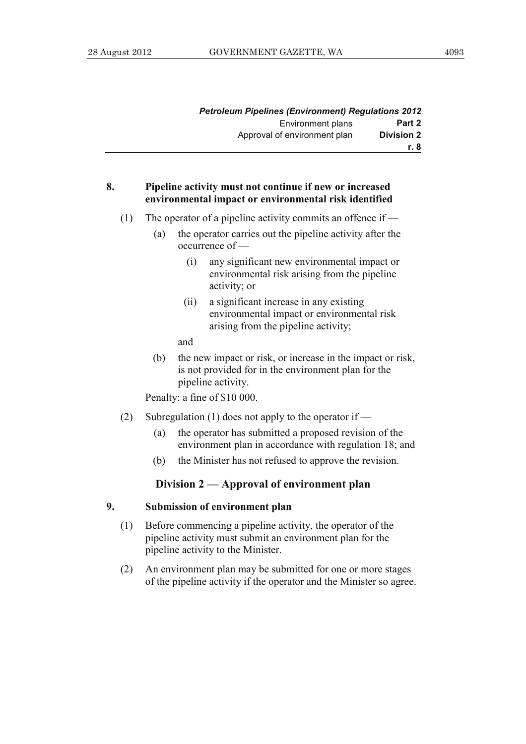| Petroleum Pipelines (Environment) Regulations 2012 |                              |
|----------------------------------------------------|------------------------------|
| Part 2                                             | Environment plans            |
| <b>Division 2</b>                                  | Approval of environment plan |
| r. 8                                               |                              |

# **8. Pipeline activity must not continue if new or increased environmental impact or environmental risk identified**

- (1) The operator of a pipeline activity commits an offence if  $-$ 
	- (a) the operator carries out the pipeline activity after the occurrence of —
		- (i) any significant new environmental impact or environmental risk arising from the pipeline activity; or
		- (ii) a significant increase in any existing environmental impact or environmental risk arising from the pipeline activity;

and

 (b) the new impact or risk, or increase in the impact or risk, is not provided for in the environment plan for the pipeline activity.

Penalty: a fine of \$10 000.

- (2) Subregulation (1) does not apply to the operator if
	- (a) the operator has submitted a proposed revision of the environment plan in accordance with regulation 18; and
	- (b) the Minister has not refused to approve the revision.

# **Division 2 — Approval of environment plan**

#### **9. Submission of environment plan**

- (1) Before commencing a pipeline activity, the operator of the pipeline activity must submit an environment plan for the pipeline activity to the Minister.
- (2) An environment plan may be submitted for one or more stages of the pipeline activity if the operator and the Minister so agree.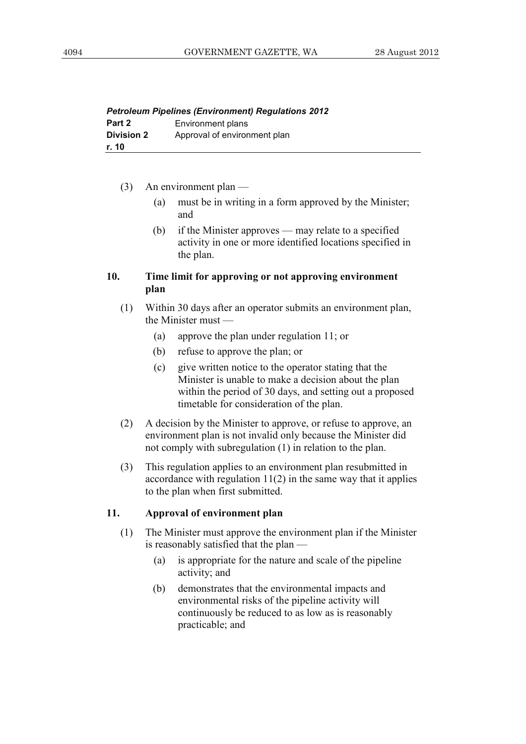| <b>Petroleum Pipelines (Environment) Regulations 2012</b> |                              |  |
|-----------------------------------------------------------|------------------------------|--|
| Part 2                                                    | Environment plans            |  |
| <b>Division 2</b>                                         | Approval of environment plan |  |
| r. 10                                                     |                              |  |

- (3) An environment plan
	- (a) must be in writing in a form approved by the Minister; and
	- (b) if the Minister approves may relate to a specified activity in one or more identified locations specified in the plan.

# **10. Time limit for approving or not approving environment plan**

- (1) Within 30 days after an operator submits an environment plan, the Minister must —
	- (a) approve the plan under regulation 11; or
	- (b) refuse to approve the plan; or
	- (c) give written notice to the operator stating that the Minister is unable to make a decision about the plan within the period of 30 days, and setting out a proposed timetable for consideration of the plan.
- (2) A decision by the Minister to approve, or refuse to approve, an environment plan is not invalid only because the Minister did not comply with subregulation (1) in relation to the plan.
- (3) This regulation applies to an environment plan resubmitted in accordance with regulation  $11(2)$  in the same way that it applies to the plan when first submitted.

# **11. Approval of environment plan**

- (1) The Minister must approve the environment plan if the Minister is reasonably satisfied that the plan —
	- (a) is appropriate for the nature and scale of the pipeline activity; and
	- (b) demonstrates that the environmental impacts and environmental risks of the pipeline activity will continuously be reduced to as low as is reasonably practicable; and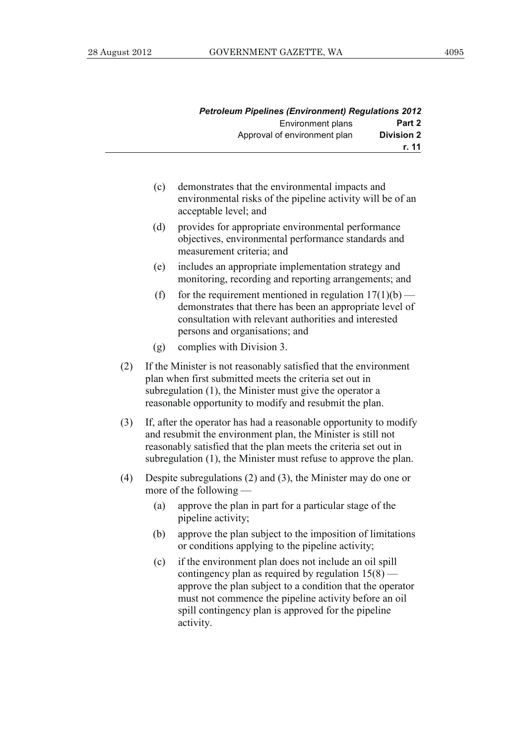|                   | <b>Petroleum Pipelines (Environment) Regulations 2012</b> |
|-------------------|-----------------------------------------------------------|
| Part 2            | <b>Environment plans</b>                                  |
| <b>Division 2</b> | Approval of environment plan                              |
| r. 11             |                                                           |

- (c) demonstrates that the environmental impacts and environmental risks of the pipeline activity will be of an acceptable level; and
- (d) provides for appropriate environmental performance objectives, environmental performance standards and measurement criteria; and
- (e) includes an appropriate implementation strategy and monitoring, recording and reporting arrangements; and
- (f) for the requirement mentioned in regulation  $17(1)(b)$  demonstrates that there has been an appropriate level of consultation with relevant authorities and interested persons and organisations; and
- (g) complies with Division 3.
- (2) If the Minister is not reasonably satisfied that the environment plan when first submitted meets the criteria set out in subregulation (1), the Minister must give the operator a reasonable opportunity to modify and resubmit the plan.
- (3) If, after the operator has had a reasonable opportunity to modify and resubmit the environment plan, the Minister is still not reasonably satisfied that the plan meets the criteria set out in subregulation (1), the Minister must refuse to approve the plan.
- (4) Despite subregulations (2) and (3), the Minister may do one or more of the following —
	- (a) approve the plan in part for a particular stage of the pipeline activity;
	- (b) approve the plan subject to the imposition of limitations or conditions applying to the pipeline activity;
	- (c) if the environment plan does not include an oil spill contingency plan as required by regulation  $15(8)$  approve the plan subject to a condition that the operator must not commence the pipeline activity before an oil spill contingency plan is approved for the pipeline activity.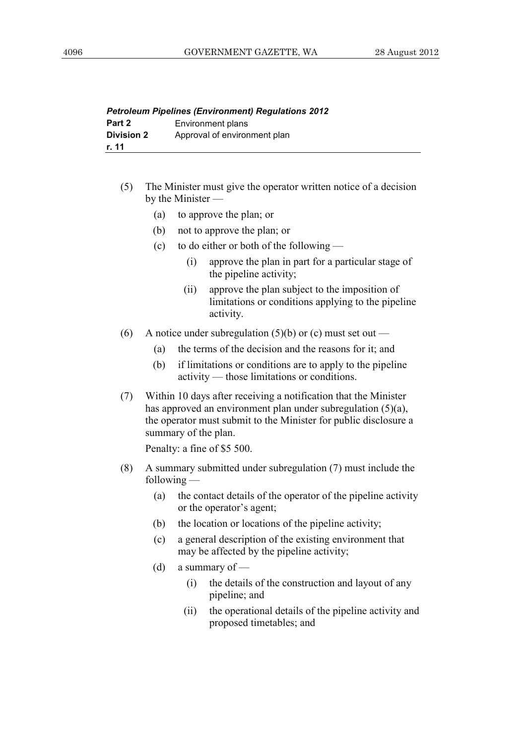| <b>Petroleum Pipelines (Environment) Regulations 2012</b> |                              |  |
|-----------------------------------------------------------|------------------------------|--|
| Part 2                                                    | Environment plans            |  |
| <b>Division 2</b>                                         | Approval of environment plan |  |
| r. 11                                                     |                              |  |

- (5) The Minister must give the operator written notice of a decision by the Minister —
	- (a) to approve the plan; or
	- (b) not to approve the plan; or
	- (c) to do either or both of the following
		- (i) approve the plan in part for a particular stage of the pipeline activity;
		- (ii) approve the plan subject to the imposition of limitations or conditions applying to the pipeline activity.
- (6) A notice under subregulation (5)(b) or (c) must set out
	- (a) the terms of the decision and the reasons for it; and
	- (b) if limitations or conditions are to apply to the pipeline activity — those limitations or conditions.
- (7) Within 10 days after receiving a notification that the Minister has approved an environment plan under subregulation (5)(a), the operator must submit to the Minister for public disclosure a summary of the plan.

Penalty: a fine of \$5 500.

- (8) A summary submitted under subregulation (7) must include the following —
	- (a) the contact details of the operator of the pipeline activity or the operator's agent;
	- (b) the location or locations of the pipeline activity;
	- (c) a general description of the existing environment that may be affected by the pipeline activity;
	- (d) a summary of
		- (i) the details of the construction and layout of any pipeline; and
		- (ii) the operational details of the pipeline activity and proposed timetables; and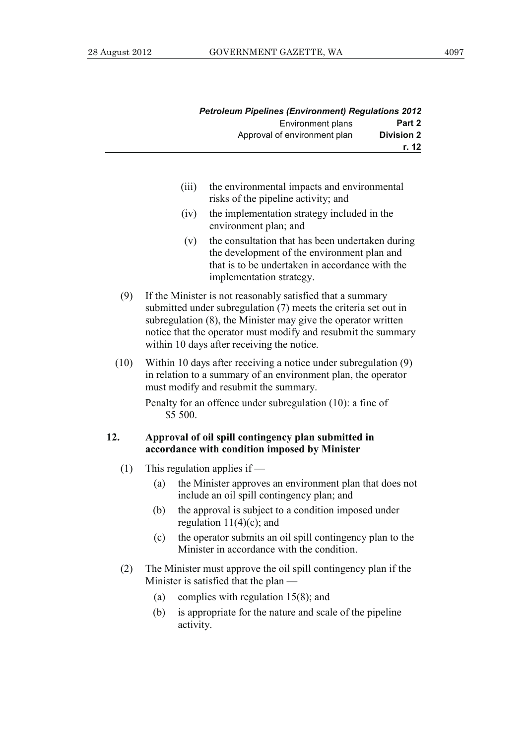|                   | <b>Petroleum Pipelines (Environment) Regulations 2012</b> |
|-------------------|-----------------------------------------------------------|
| Part 2            | Environment plans                                         |
| <b>Division 2</b> | Approval of environment plan                              |
| r. 12             |                                                           |

- (iii) the environmental impacts and environmental risks of the pipeline activity; and
- (iv) the implementation strategy included in the environment plan; and
- (v) the consultation that has been undertaken during the development of the environment plan and that is to be undertaken in accordance with the implementation strategy.
- (9) If the Minister is not reasonably satisfied that a summary submitted under subregulation (7) meets the criteria set out in subregulation (8), the Minister may give the operator written notice that the operator must modify and resubmit the summary within 10 days after receiving the notice.
- (10) Within 10 days after receiving a notice under subregulation (9) in relation to a summary of an environment plan, the operator must modify and resubmit the summary.

 Penalty for an offence under subregulation (10): a fine of \$5 500.

#### **12. Approval of oil spill contingency plan submitted in accordance with condition imposed by Minister**

- (1) This regulation applies if
	- (a) the Minister approves an environment plan that does not include an oil spill contingency plan; and
	- (b) the approval is subject to a condition imposed under regulation  $11(4)(c)$ ; and
	- (c) the operator submits an oil spill contingency plan to the Minister in accordance with the condition.
- (2) The Minister must approve the oil spill contingency plan if the Minister is satisfied that the plan —
	- (a) complies with regulation 15(8); and
	- (b) is appropriate for the nature and scale of the pipeline activity.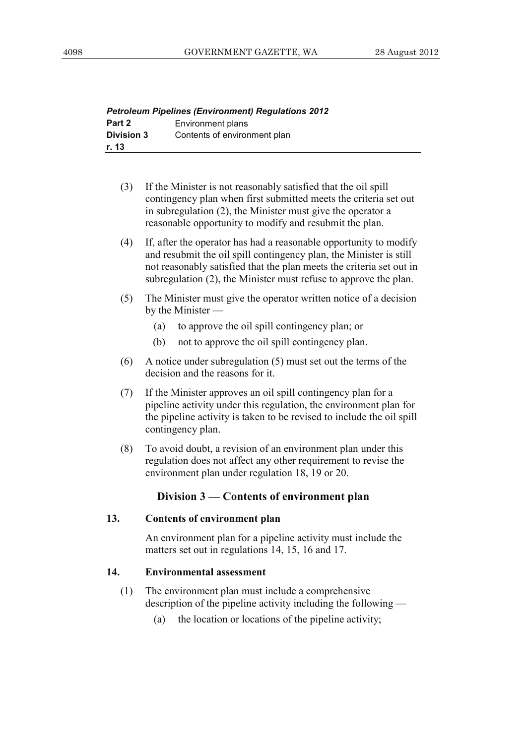|                   | <b>Petroleum Pipelines (Environment) Regulations 2012</b> |
|-------------------|-----------------------------------------------------------|
| Part 2            | Environment plans                                         |
| <b>Division 3</b> | Contents of environment plan                              |
| r. 13             |                                                           |

- (3) If the Minister is not reasonably satisfied that the oil spill contingency plan when first submitted meets the criteria set out in subregulation (2), the Minister must give the operator a reasonable opportunity to modify and resubmit the plan.
- (4) If, after the operator has had a reasonable opportunity to modify and resubmit the oil spill contingency plan, the Minister is still not reasonably satisfied that the plan meets the criteria set out in subregulation (2), the Minister must refuse to approve the plan.
- (5) The Minister must give the operator written notice of a decision by the Minister —
	- (a) to approve the oil spill contingency plan; or
	- (b) not to approve the oil spill contingency plan.
- (6) A notice under subregulation (5) must set out the terms of the decision and the reasons for it.
- (7) If the Minister approves an oil spill contingency plan for a pipeline activity under this regulation, the environment plan for the pipeline activity is taken to be revised to include the oil spill contingency plan.
- (8) To avoid doubt, a revision of an environment plan under this regulation does not affect any other requirement to revise the environment plan under regulation 18, 19 or 20.

# **Division 3 — Contents of environment plan**

#### **13. Contents of environment plan**

 An environment plan for a pipeline activity must include the matters set out in regulations 14, 15, 16 and 17.

#### **14. Environmental assessment**

- (1) The environment plan must include a comprehensive description of the pipeline activity including the following —
	- (a) the location or locations of the pipeline activity;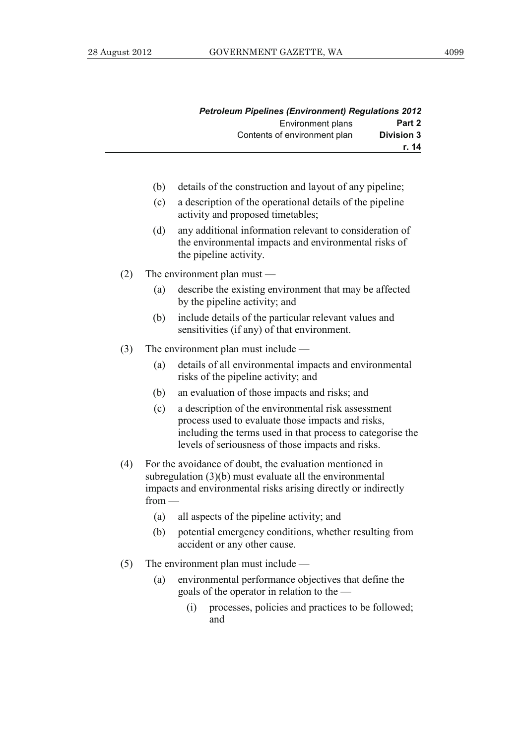|                   | <b>Petroleum Pipelines (Environment) Regulations 2012</b> |
|-------------------|-----------------------------------------------------------|
| Part 2            | Environment plans                                         |
| <b>Division 3</b> | Contents of environment plan                              |
| r. 14             |                                                           |

- (b) details of the construction and layout of any pipeline;
- (c) a description of the operational details of the pipeline activity and proposed timetables;
- (d) any additional information relevant to consideration of the environmental impacts and environmental risks of the pipeline activity.
- (2) The environment plan must
	- (a) describe the existing environment that may be affected by the pipeline activity; and
	- (b) include details of the particular relevant values and sensitivities (if any) of that environment.
- (3) The environment plan must include
	- (a) details of all environmental impacts and environmental risks of the pipeline activity; and
	- (b) an evaluation of those impacts and risks; and
	- (c) a description of the environmental risk assessment process used to evaluate those impacts and risks, including the terms used in that process to categorise the levels of seriousness of those impacts and risks.
- (4) For the avoidance of doubt, the evaluation mentioned in subregulation (3)(b) must evaluate all the environmental impacts and environmental risks arising directly or indirectly from —
	- (a) all aspects of the pipeline activity; and
	- (b) potential emergency conditions, whether resulting from accident or any other cause.
- (5) The environment plan must include
	- (a) environmental performance objectives that define the goals of the operator in relation to the —
		- (i) processes, policies and practices to be followed; and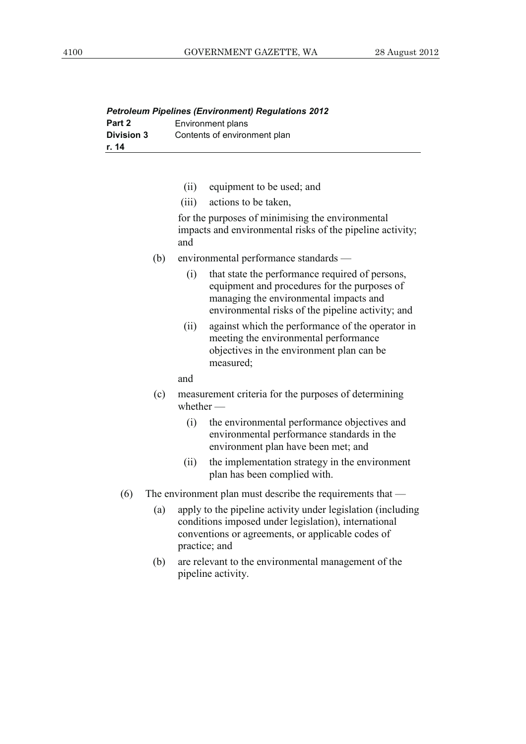| <b>Petroleum Pipelines (Environment) Regulations 2012</b> |                              |  |
|-----------------------------------------------------------|------------------------------|--|
| Part 2                                                    | Environment plans            |  |
| <b>Division 3</b>                                         | Contents of environment plan |  |
| r. 14                                                     |                              |  |

- (ii) equipment to be used; and
- (iii) actions to be taken,

 for the purposes of minimising the environmental impacts and environmental risks of the pipeline activity; and

- (b) environmental performance standards
	- (i) that state the performance required of persons, equipment and procedures for the purposes of managing the environmental impacts and environmental risks of the pipeline activity; and
	- (ii) against which the performance of the operator in meeting the environmental performance objectives in the environment plan can be measured;

#### and

- (c) measurement criteria for the purposes of determining whether -
	- (i) the environmental performance objectives and environmental performance standards in the environment plan have been met; and
	- (ii) the implementation strategy in the environment plan has been complied with.
- (6) The environment plan must describe the requirements that
	- (a) apply to the pipeline activity under legislation (including conditions imposed under legislation), international conventions or agreements, or applicable codes of practice; and
	- (b) are relevant to the environmental management of the pipeline activity.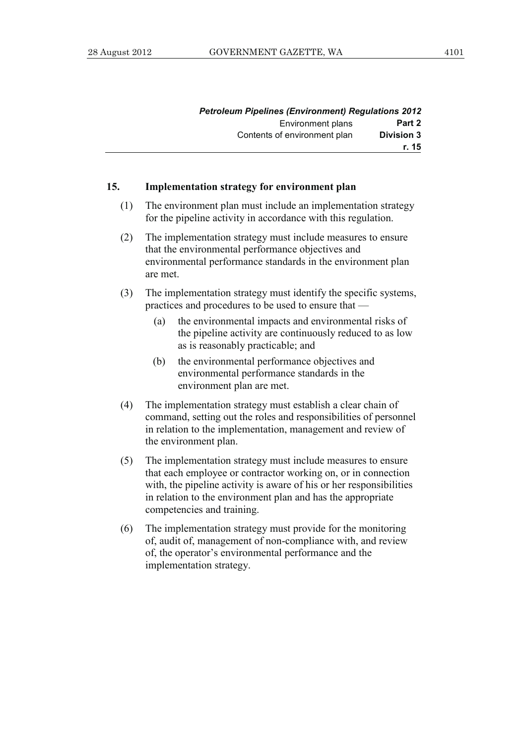|                   | Petroleum Pipelines (Environment) Regulations 2012 |
|-------------------|----------------------------------------------------|
| Part 2            | Environment plans                                  |
| <b>Division 3</b> | Contents of environment plan                       |
| r. 15             |                                                    |

#### **15. Implementation strategy for environment plan**

- (1) The environment plan must include an implementation strategy for the pipeline activity in accordance with this regulation.
- (2) The implementation strategy must include measures to ensure that the environmental performance objectives and environmental performance standards in the environment plan are met.
- (3) The implementation strategy must identify the specific systems, practices and procedures to be used to ensure that —
	- (a) the environmental impacts and environmental risks of the pipeline activity are continuously reduced to as low as is reasonably practicable; and
	- (b) the environmental performance objectives and environmental performance standards in the environment plan are met.
- (4) The implementation strategy must establish a clear chain of command, setting out the roles and responsibilities of personnel in relation to the implementation, management and review of the environment plan.
- (5) The implementation strategy must include measures to ensure that each employee or contractor working on, or in connection with, the pipeline activity is aware of his or her responsibilities in relation to the environment plan and has the appropriate competencies and training.
- (6) The implementation strategy must provide for the monitoring of, audit of, management of non-compliance with, and review of, the operator's environmental performance and the implementation strategy.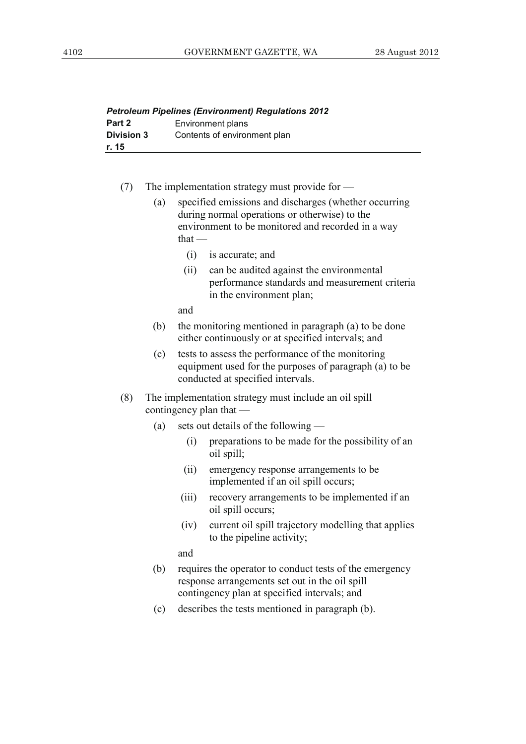| <b>Petroleum Pipelines (Environment) Regulations 2012</b> |                              |
|-----------------------------------------------------------|------------------------------|
| Part 2                                                    | Environment plans            |
| <b>Division 3</b>                                         | Contents of environment plan |
| r. 15                                                     |                              |

- (7) The implementation strategy must provide for
	- (a) specified emissions and discharges (whether occurring during normal operations or otherwise) to the environment to be monitored and recorded in a way  $that -$ 
		- (i) is accurate; and
		- (ii) can be audited against the environmental performance standards and measurement criteria in the environment plan;

and

- (b) the monitoring mentioned in paragraph (a) to be done either continuously or at specified intervals; and
- (c) tests to assess the performance of the monitoring equipment used for the purposes of paragraph (a) to be conducted at specified intervals.
- (8) The implementation strategy must include an oil spill contingency plan that —
	- (a) sets out details of the following
		- (i) preparations to be made for the possibility of an oil spill;
		- (ii) emergency response arrangements to be implemented if an oil spill occurs;
		- (iii) recovery arrangements to be implemented if an oil spill occurs;
		- (iv) current oil spill trajectory modelling that applies to the pipeline activity;

and

- (b) requires the operator to conduct tests of the emergency response arrangements set out in the oil spill contingency plan at specified intervals; and
- (c) describes the tests mentioned in paragraph (b).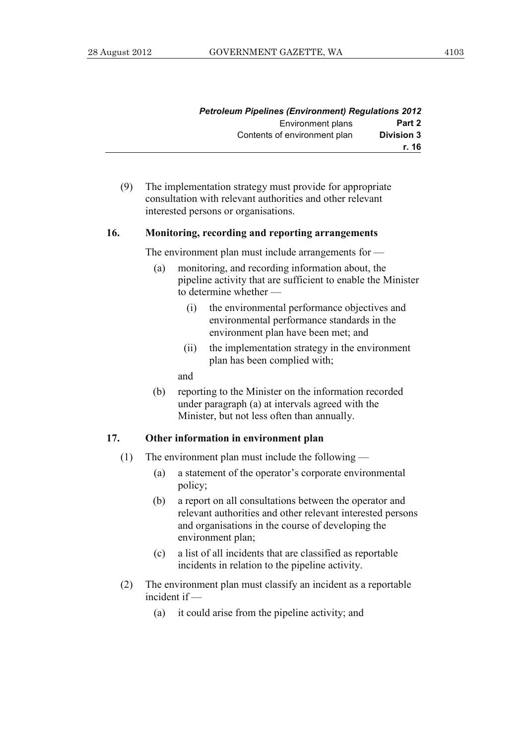| Petroleum Pipelines (Environment) Regulations 2012 |                              |
|----------------------------------------------------|------------------------------|
| Part 2                                             | Environment plans            |
| <b>Division 3</b>                                  | Contents of environment plan |
| r. 16                                              |                              |

 (9) The implementation strategy must provide for appropriate consultation with relevant authorities and other relevant interested persons or organisations.

#### **16. Monitoring, recording and reporting arrangements**

The environment plan must include arrangements for —

- (a) monitoring, and recording information about, the pipeline activity that are sufficient to enable the Minister to determine whether —
	- (i) the environmental performance objectives and environmental performance standards in the environment plan have been met; and
	- (ii) the implementation strategy in the environment plan has been complied with;

and

 (b) reporting to the Minister on the information recorded under paragraph (a) at intervals agreed with the Minister, but not less often than annually.

#### **17. Other information in environment plan**

- (1) The environment plan must include the following
	- (a) a statement of the operator's corporate environmental policy;
	- (b) a report on all consultations between the operator and relevant authorities and other relevant interested persons and organisations in the course of developing the environment plan;
	- (c) a list of all incidents that are classified as reportable incidents in relation to the pipeline activity.
- (2) The environment plan must classify an incident as a reportable incident if —
	- (a) it could arise from the pipeline activity; and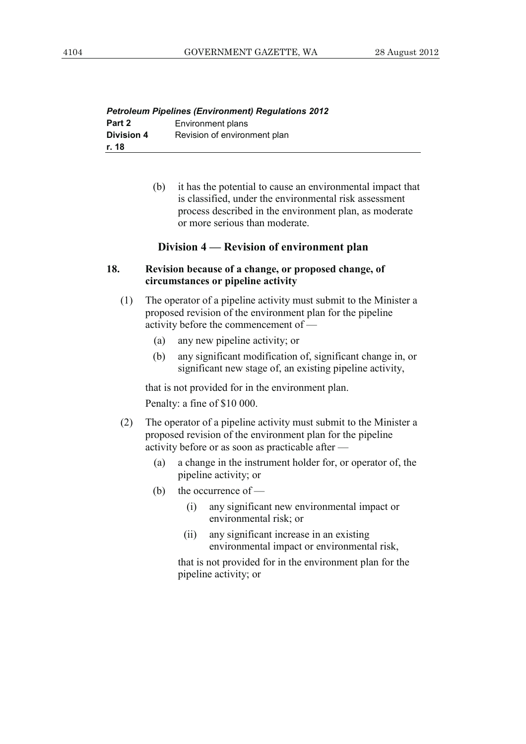| <b>Petroleum Pipelines (Environment) Regulations 2012</b> |                              |
|-----------------------------------------------------------|------------------------------|
| Part 2                                                    | Environment plans            |
| <b>Division 4</b>                                         | Revision of environment plan |
| r. 18                                                     |                              |

 (b) it has the potential to cause an environmental impact that is classified, under the environmental risk assessment process described in the environment plan, as moderate or more serious than moderate.

# **Division 4 — Revision of environment plan**

# **18. Revision because of a change, or proposed change, of circumstances or pipeline activity**

- (1) The operator of a pipeline activity must submit to the Minister a proposed revision of the environment plan for the pipeline  $\alpha$  activity before the commencement of  $\overline{\phantom{a}}$ 
	- (a) any new pipeline activity; or
	- (b) any significant modification of, significant change in, or significant new stage of, an existing pipeline activity,

 that is not provided for in the environment plan. Penalty: a fine of \$10 000.

- (2) The operator of a pipeline activity must submit to the Minister a proposed revision of the environment plan for the pipeline activity before or as soon as practicable after —
	- (a) a change in the instrument holder for, or operator of, the pipeline activity; or
	- (b) the occurrence of
		- (i) any significant new environmental impact or environmental risk; or
		- (ii) any significant increase in an existing environmental impact or environmental risk,

 that is not provided for in the environment plan for the pipeline activity; or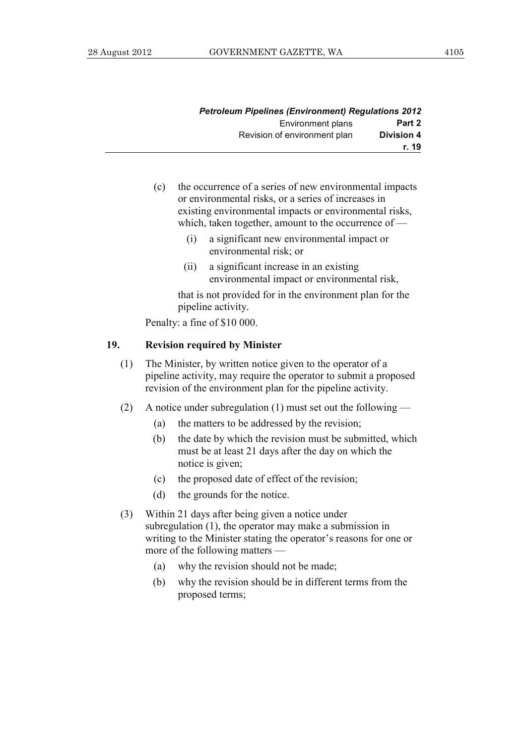|                   | <b>Petroleum Pipelines (Environment) Regulations 2012</b> |
|-------------------|-----------------------------------------------------------|
| Part 2            | Environment plans                                         |
| <b>Division 4</b> | Revision of environment plan                              |
| r. 19             |                                                           |

- (c) the occurrence of a series of new environmental impacts or environmental risks, or a series of increases in existing environmental impacts or environmental risks, which, taken together, amount to the occurrence of —
	- (i) a significant new environmental impact or environmental risk; or
	- (ii) a significant increase in an existing environmental impact or environmental risk,

 that is not provided for in the environment plan for the pipeline activity.

Penalty: a fine of \$10 000.

#### **19. Revision required by Minister**

- (1) The Minister, by written notice given to the operator of a pipeline activity, may require the operator to submit a proposed revision of the environment plan for the pipeline activity.
- (2) A notice under subregulation (1) must set out the following
	- (a) the matters to be addressed by the revision;
	- (b) the date by which the revision must be submitted, which must be at least 21 days after the day on which the notice is given;
	- (c) the proposed date of effect of the revision;
	- (d) the grounds for the notice.
- (3) Within 21 days after being given a notice under subregulation (1), the operator may make a submission in writing to the Minister stating the operator's reasons for one or more of the following matters —
	- (a) why the revision should not be made;
	- (b) why the revision should be in different terms from the proposed terms;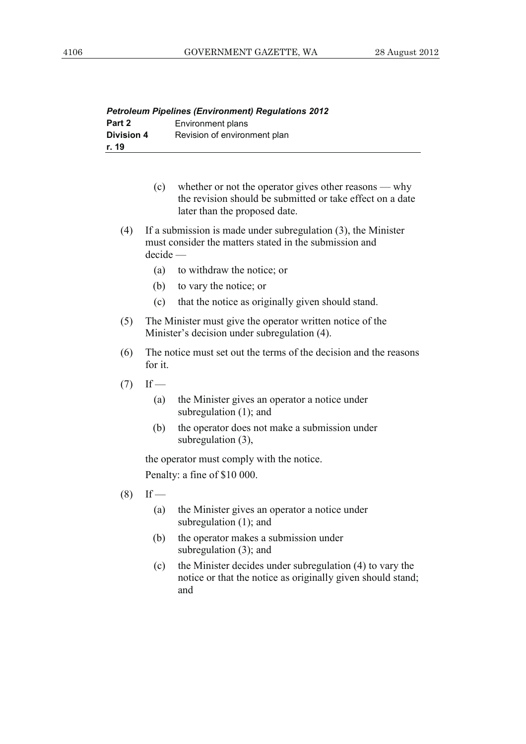|                   | <b>Petroleum Pipelines (Environment) Regulations 2012</b> |
|-------------------|-----------------------------------------------------------|
| Part 2            | Environment plans                                         |
| <b>Division 4</b> | Revision of environment plan                              |
| r. 19             |                                                           |

- (c) whether or not the operator gives other reasons why the revision should be submitted or take effect on a date later than the proposed date.
- (4) If a submission is made under subregulation (3), the Minister must consider the matters stated in the submission and decide —
	- (a) to withdraw the notice; or
	- (b) to vary the notice; or
	- (c) that the notice as originally given should stand.
- (5) The Minister must give the operator written notice of the Minister's decision under subregulation (4).
- (6) The notice must set out the terms of the decision and the reasons for it.
- $(7)$  If
	- (a) the Minister gives an operator a notice under subregulation (1); and
	- (b) the operator does not make a submission under subregulation (3),

 the operator must comply with the notice. Penalty: a fine of \$10 000.

- $(8)$  If
	- (a) the Minister gives an operator a notice under subregulation (1); and
	- (b) the operator makes a submission under subregulation (3); and
	- (c) the Minister decides under subregulation (4) to vary the notice or that the notice as originally given should stand; and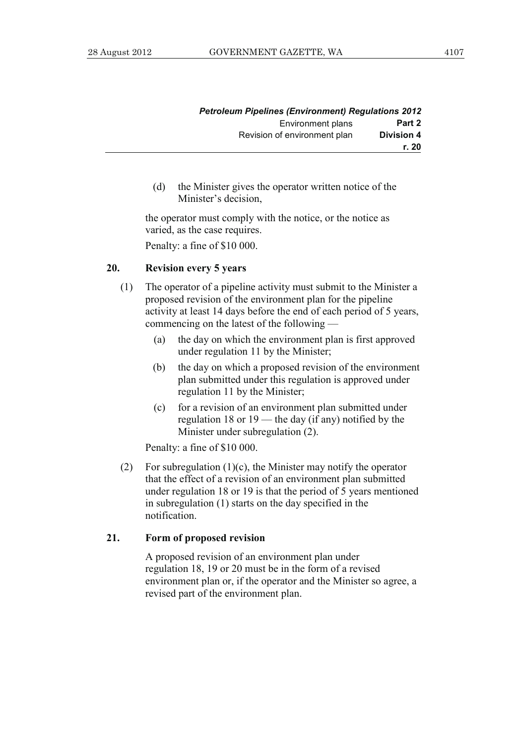|                   | <b>Petroleum Pipelines (Environment) Regulations 2012</b> |
|-------------------|-----------------------------------------------------------|
| Part 2            | Environment plans                                         |
| <b>Division 4</b> | Revision of environment plan                              |
| r. 20             |                                                           |

 (d) the Minister gives the operator written notice of the Minister's decision,

 the operator must comply with the notice, or the notice as varied, as the case requires. Penalty: a fine of \$10 000.

#### **20. Revision every 5 years**

- (1) The operator of a pipeline activity must submit to the Minister a proposed revision of the environment plan for the pipeline activity at least 14 days before the end of each period of 5 years, commencing on the latest of the following —
	- (a) the day on which the environment plan is first approved under regulation 11 by the Minister;
	- (b) the day on which a proposed revision of the environment plan submitted under this regulation is approved under regulation 11 by the Minister;
	- (c) for a revision of an environment plan submitted under regulation 18 or 19 — the day (if any) notified by the Minister under subregulation (2).

Penalty: a fine of \$10 000.

(2) For subregulation  $(1)(c)$ , the Minister may notify the operator that the effect of a revision of an environment plan submitted under regulation 18 or 19 is that the period of 5 years mentioned in subregulation (1) starts on the day specified in the notification.

#### **21. Form of proposed revision**

 A proposed revision of an environment plan under regulation 18, 19 or 20 must be in the form of a revised environment plan or, if the operator and the Minister so agree, a revised part of the environment plan.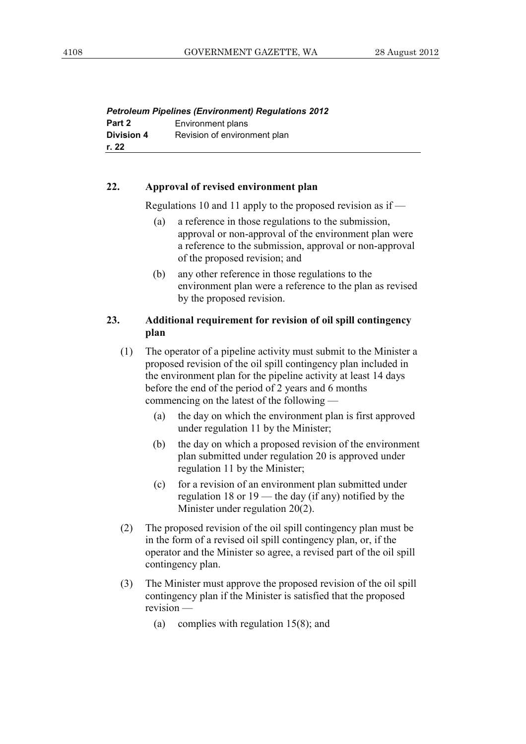|                   | <b>Petroleum Pipelines (Environment) Regulations 2012</b> |
|-------------------|-----------------------------------------------------------|
| Part 2            | Environment plans                                         |
| <b>Division 4</b> | Revision of environment plan                              |
| r. 22             |                                                           |

#### **22. Approval of revised environment plan**

Regulations 10 and 11 apply to the proposed revision as if —

- (a) a reference in those regulations to the submission, approval or non-approval of the environment plan were a reference to the submission, approval or non-approval of the proposed revision; and
- (b) any other reference in those regulations to the environment plan were a reference to the plan as revised by the proposed revision.

# **23. Additional requirement for revision of oil spill contingency plan**

- (1) The operator of a pipeline activity must submit to the Minister a proposed revision of the oil spill contingency plan included in the environment plan for the pipeline activity at least 14 days before the end of the period of 2 years and 6 months commencing on the latest of the following —
	- (a) the day on which the environment plan is first approved under regulation 11 by the Minister;
	- (b) the day on which a proposed revision of the environment plan submitted under regulation 20 is approved under regulation 11 by the Minister;
	- (c) for a revision of an environment plan submitted under regulation 18 or 19 — the day (if any) notified by the Minister under regulation 20(2).
- (2) The proposed revision of the oil spill contingency plan must be in the form of a revised oil spill contingency plan, or, if the operator and the Minister so agree, a revised part of the oil spill contingency plan.
- (3) The Minister must approve the proposed revision of the oil spill contingency plan if the Minister is satisfied that the proposed revision —
	- (a) complies with regulation 15(8); and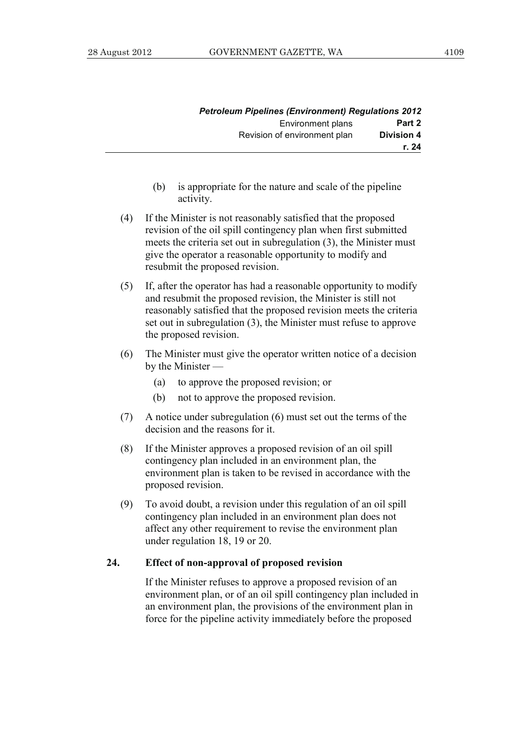|                   | <b>Petroleum Pipelines (Environment) Regulations 2012</b> |
|-------------------|-----------------------------------------------------------|
| Part 2            | <b>Environment plans</b>                                  |
| <b>Division 4</b> | Revision of environment plan                              |
| r. 24             |                                                           |

- (b) is appropriate for the nature and scale of the pipeline activity.
- (4) If the Minister is not reasonably satisfied that the proposed revision of the oil spill contingency plan when first submitted meets the criteria set out in subregulation (3), the Minister must give the operator a reasonable opportunity to modify and resubmit the proposed revision.
- (5) If, after the operator has had a reasonable opportunity to modify and resubmit the proposed revision, the Minister is still not reasonably satisfied that the proposed revision meets the criteria set out in subregulation (3), the Minister must refuse to approve the proposed revision.
- (6) The Minister must give the operator written notice of a decision by the Minister —
	- (a) to approve the proposed revision; or
	- (b) not to approve the proposed revision.
- (7) A notice under subregulation (6) must set out the terms of the decision and the reasons for it.
- (8) If the Minister approves a proposed revision of an oil spill contingency plan included in an environment plan, the environment plan is taken to be revised in accordance with the proposed revision.
- (9) To avoid doubt, a revision under this regulation of an oil spill contingency plan included in an environment plan does not affect any other requirement to revise the environment plan under regulation 18, 19 or 20.

#### **24. Effect of non-approval of proposed revision**

 If the Minister refuses to approve a proposed revision of an environment plan, or of an oil spill contingency plan included in an environment plan, the provisions of the environment plan in force for the pipeline activity immediately before the proposed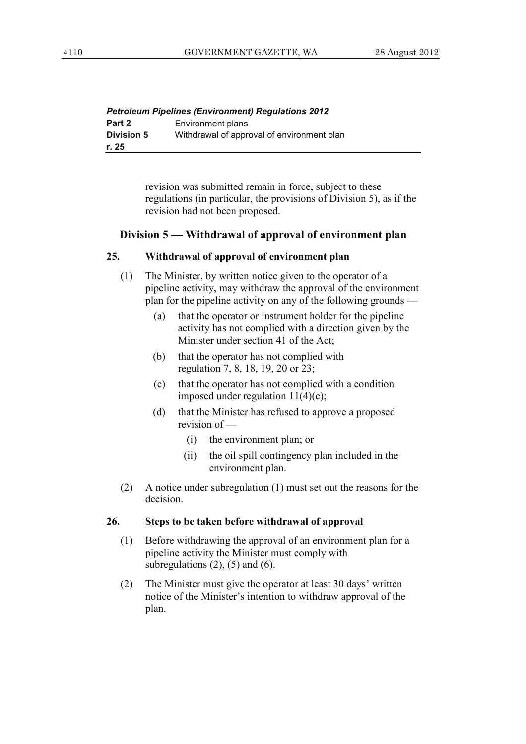|                   | <b>Petroleum Pipelines (Environment) Regulations 2012</b> |
|-------------------|-----------------------------------------------------------|
| Part 2            | Environment plans                                         |
| <b>Division 5</b> | Withdrawal of approval of environment plan                |
| r. 25             |                                                           |

revision was submitted remain in force, subject to these regulations (in particular, the provisions of Division 5), as if the revision had not been proposed.

#### **Division 5 — Withdrawal of approval of environment plan**

#### **25. Withdrawal of approval of environment plan**

- (1) The Minister, by written notice given to the operator of a pipeline activity, may withdraw the approval of the environment plan for the pipeline activity on any of the following grounds —
	- (a) that the operator or instrument holder for the pipeline activity has not complied with a direction given by the Minister under section 41 of the Act;
	- (b) that the operator has not complied with regulation 7, 8, 18, 19, 20 or 23;
	- (c) that the operator has not complied with a condition imposed under regulation 11(4)(c);
	- (d) that the Minister has refused to approve a proposed revision of —
		- (i) the environment plan; or
		- (ii) the oil spill contingency plan included in the environment plan.
- (2) A notice under subregulation (1) must set out the reasons for the decision.

#### **26. Steps to be taken before withdrawal of approval**

- (1) Before withdrawing the approval of an environment plan for a pipeline activity the Minister must comply with subregulations  $(2)$ ,  $(5)$  and  $(6)$ .
- (2) The Minister must give the operator at least 30 days' written notice of the Minister's intention to withdraw approval of the plan.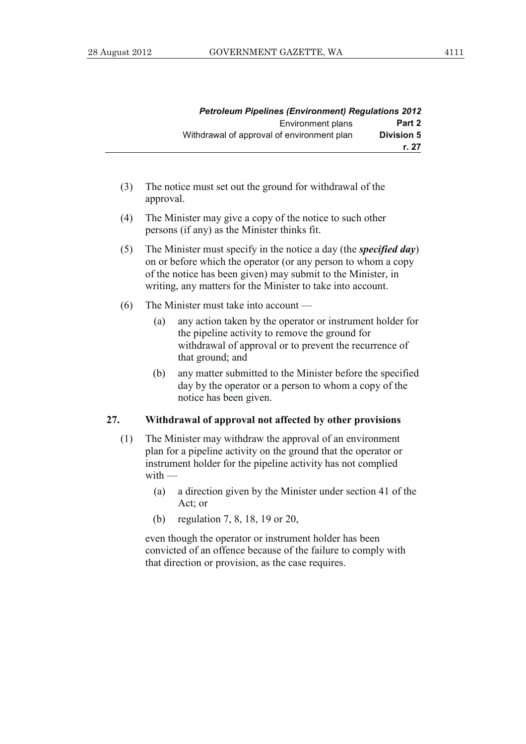|                   | <b>Petroleum Pipelines (Environment) Regulations 2012</b> |
|-------------------|-----------------------------------------------------------|
| Part 2            | Environment plans                                         |
| <b>Division 5</b> | Withdrawal of approval of environment plan                |
| r. 27             |                                                           |

- (3) The notice must set out the ground for withdrawal of the approval.
- (4) The Minister may give a copy of the notice to such other persons (if any) as the Minister thinks fit.
- (5) The Minister must specify in the notice a day (the *specified day*) on or before which the operator (or any person to whom a copy of the notice has been given) may submit to the Minister, in writing, any matters for the Minister to take into account.
- (6) The Minister must take into account
	- (a) any action taken by the operator or instrument holder for the pipeline activity to remove the ground for withdrawal of approval or to prevent the recurrence of that ground; and
	- (b) any matter submitted to the Minister before the specified day by the operator or a person to whom a copy of the notice has been given.

#### **27. Withdrawal of approval not affected by other provisions**

- (1) The Minister may withdraw the approval of an environment plan for a pipeline activity on the ground that the operator or instrument holder for the pipeline activity has not complied with —
	- (a) a direction given by the Minister under section 41 of the Act; or
	- (b) regulation 7, 8, 18, 19 or 20,

 even though the operator or instrument holder has been convicted of an offence because of the failure to comply with that direction or provision, as the case requires.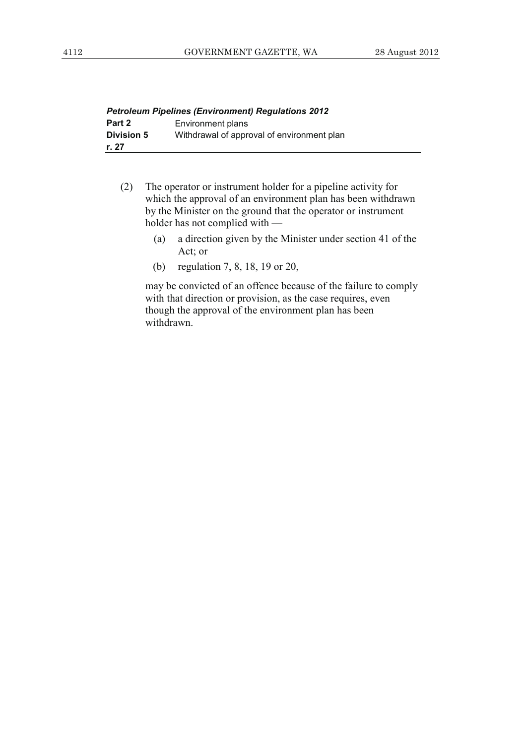| <b>Petroleum Pipelines (Environment) Regulations 2012</b> |                                            |
|-----------------------------------------------------------|--------------------------------------------|
| Part 2                                                    | Environment plans                          |
| <b>Division 5</b>                                         | Withdrawal of approval of environment plan |
| r. 27                                                     |                                            |

- (2) The operator or instrument holder for a pipeline activity for which the approval of an environment plan has been withdrawn by the Minister on the ground that the operator or instrument holder has not complied with —
	- (a) a direction given by the Minister under section 41 of the Act; or
	- (b) regulation 7, 8, 18, 19 or 20,

 may be convicted of an offence because of the failure to comply with that direction or provision, as the case requires, even though the approval of the environment plan has been withdrawn.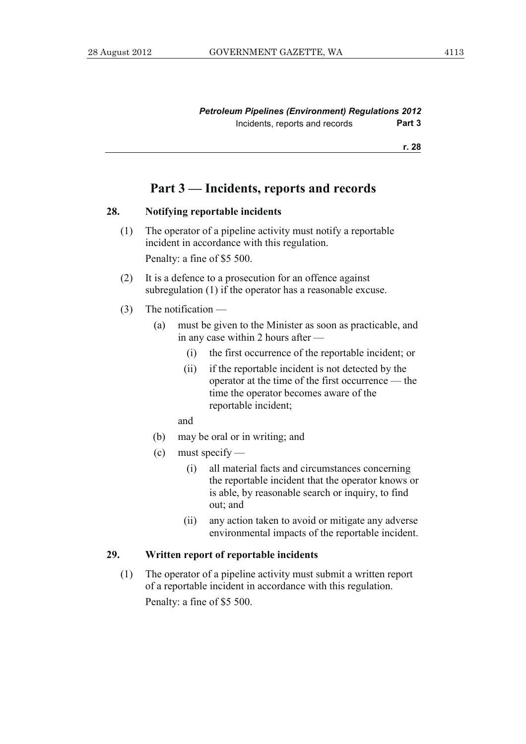*Petroleum Pipelines (Environment) Regulations 2012*  Incidents, reports and records **Part 3** 

**r. 28**

# **Part 3 — Incidents, reports and records**

#### **28. Notifying reportable incidents**

- (1) The operator of a pipeline activity must notify a reportable incident in accordance with this regulation. Penalty: a fine of \$5 500.
- (2) It is a defence to a prosecution for an offence against subregulation (1) if the operator has a reasonable excuse.
- (3) The notification
	- (a) must be given to the Minister as soon as practicable, and in any case within 2 hours after —
		- (i) the first occurrence of the reportable incident; or
		- (ii) if the reportable incident is not detected by the operator at the time of the first occurrence — the time the operator becomes aware of the reportable incident;
		- and
	- (b) may be oral or in writing; and
	- (c) must specify
		- (i) all material facts and circumstances concerning the reportable incident that the operator knows or is able, by reasonable search or inquiry, to find out; and
		- (ii) any action taken to avoid or mitigate any adverse environmental impacts of the reportable incident.

# **29. Written report of reportable incidents**

 (1) The operator of a pipeline activity must submit a written report of a reportable incident in accordance with this regulation. Penalty: a fine of \$5 500.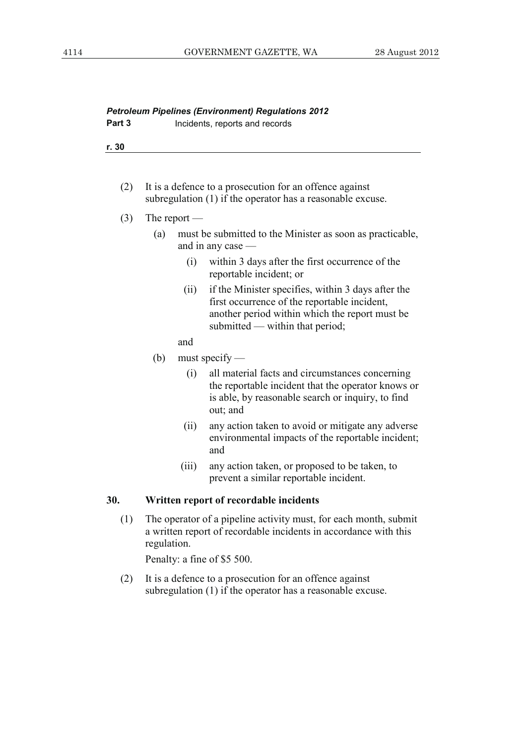| Part 3 | Incidents, reports and records                                                                                        |
|--------|-----------------------------------------------------------------------------------------------------------------------|
| r. 30  |                                                                                                                       |
|        |                                                                                                                       |
| (2)    | It is a defence to a prosecution for an offence against<br>subregulation (1) if the operator has a reasonable excuse. |
|        | The report $-$                                                                                                        |

*Petroleum Pipelines (Environment) Regulations 2012* 

- (a) must be submitted to the Minister as soon as practicable, and in any case —
	- (i) within 3 days after the first occurrence of the reportable incident; or
	- (ii) if the Minister specifies, within 3 days after the first occurrence of the reportable incident, another period within which the report must be submitted — within that period;

and

- (b) must specify
	- (i) all material facts and circumstances concerning the reportable incident that the operator knows or is able, by reasonable search or inquiry, to find out; and
	- (ii) any action taken to avoid or mitigate any adverse environmental impacts of the reportable incident; and
	- (iii) any action taken, or proposed to be taken, to prevent a similar reportable incident.

# **30. Written report of recordable incidents**

 (1) The operator of a pipeline activity must, for each month, submit a written report of recordable incidents in accordance with this regulation.

Penalty: a fine of \$5 500.

 (2) It is a defence to a prosecution for an offence against subregulation (1) if the operator has a reasonable excuse.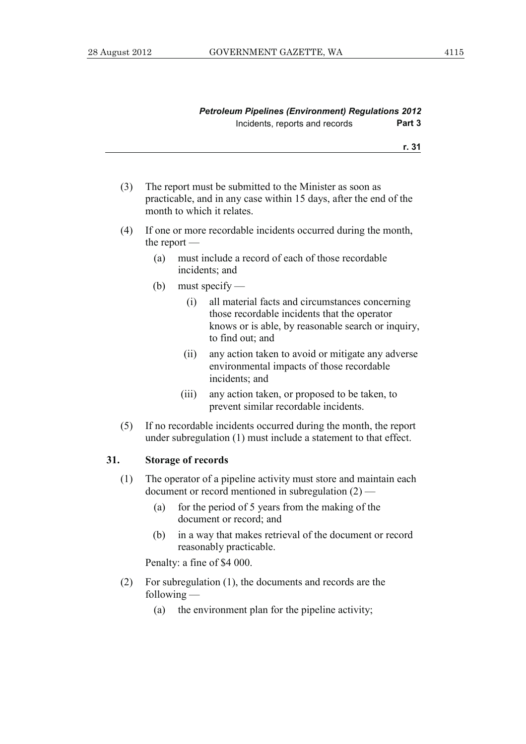| <b>Petroleum Pipelines (Environment) Regulations 2012</b> |        |
|-----------------------------------------------------------|--------|
| Incidents, reports and records                            | Part 3 |

**r. 31**

- (3) The report must be submitted to the Minister as soon as practicable, and in any case within 15 days, after the end of the month to which it relates.
- (4) If one or more recordable incidents occurred during the month, the report —
	- (a) must include a record of each of those recordable incidents; and
	- (b) must specify
		- (i) all material facts and circumstances concerning those recordable incidents that the operator knows or is able, by reasonable search or inquiry, to find out; and
		- (ii) any action taken to avoid or mitigate any adverse environmental impacts of those recordable incidents; and
		- (iii) any action taken, or proposed to be taken, to prevent similar recordable incidents.
- (5) If no recordable incidents occurred during the month, the report under subregulation (1) must include a statement to that effect.

#### **31. Storage of records**

- (1) The operator of a pipeline activity must store and maintain each document or record mentioned in subregulation (2) —
	- (a) for the period of 5 years from the making of the document or record; and
	- (b) in a way that makes retrieval of the document or record reasonably practicable.

Penalty: a fine of \$4 000.

- (2) For subregulation (1), the documents and records are the following —
	- (a) the environment plan for the pipeline activity;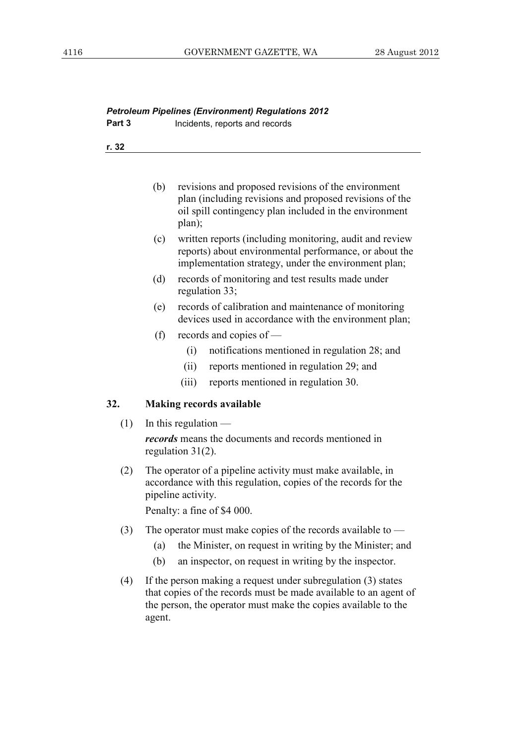| <b>Petroleum Pipelines (Environment) Regulations 2012</b> |                                                                                                                                                                                                               |  |  |  |
|-----------------------------------------------------------|---------------------------------------------------------------------------------------------------------------------------------------------------------------------------------------------------------------|--|--|--|
| Part 3                                                    | Incidents, reports and records                                                                                                                                                                                |  |  |  |
| r. 32                                                     |                                                                                                                                                                                                               |  |  |  |
|                                                           |                                                                                                                                                                                                               |  |  |  |
|                                                           |                                                                                                                                                                                                               |  |  |  |
|                                                           | revisions and proposed revisions of the environment<br>(b)<br>plan (including revisions and proposed revisions of the<br>oil spill contingency plan included in the environment<br>plan);                     |  |  |  |
|                                                           | written reports (including monitoring, audit and review<br>(c)<br>reports) about environmental performance, or about the<br>implementation strategy, under the environment plan;                              |  |  |  |
|                                                           | (d)<br>records of monitoring and test results made under<br>regulation 33;                                                                                                                                    |  |  |  |
|                                                           | (e)<br>records of calibration and maintenance of monitoring<br>devices used in accordance with the environment plan;                                                                                          |  |  |  |
|                                                           | (f)<br>records and copies of —                                                                                                                                                                                |  |  |  |
|                                                           | (i)<br>notifications mentioned in regulation 28; and                                                                                                                                                          |  |  |  |
|                                                           | reports mentioned in regulation 29; and<br>(ii)                                                                                                                                                               |  |  |  |
|                                                           | (iii)<br>reports mentioned in regulation 30.                                                                                                                                                                  |  |  |  |
| 32.                                                       | <b>Making records available</b>                                                                                                                                                                               |  |  |  |
| (1)                                                       | In this regulation -                                                                                                                                                                                          |  |  |  |
|                                                           | <i>records</i> means the documents and records mentioned in<br>regulation $31(2)$ .                                                                                                                           |  |  |  |
| (2)                                                       | The operator of a pipeline activity must make available, in<br>accordance with this regulation, copies of the records for the<br>pipeline activity.<br>Penalty: a fine of \$4 000.                            |  |  |  |
| (3)                                                       | The operator must make copies of the records available to $-$                                                                                                                                                 |  |  |  |
|                                                           | the Minister, on request in writing by the Minister; and<br>(a)                                                                                                                                               |  |  |  |
|                                                           | an inspector, on request in writing by the inspector.<br>(b)                                                                                                                                                  |  |  |  |
| (4)                                                       | If the person making a request under subregulation (3) states<br>that copies of the records must be made available to an agent of<br>the person, the operator must make the copies available to the<br>agent. |  |  |  |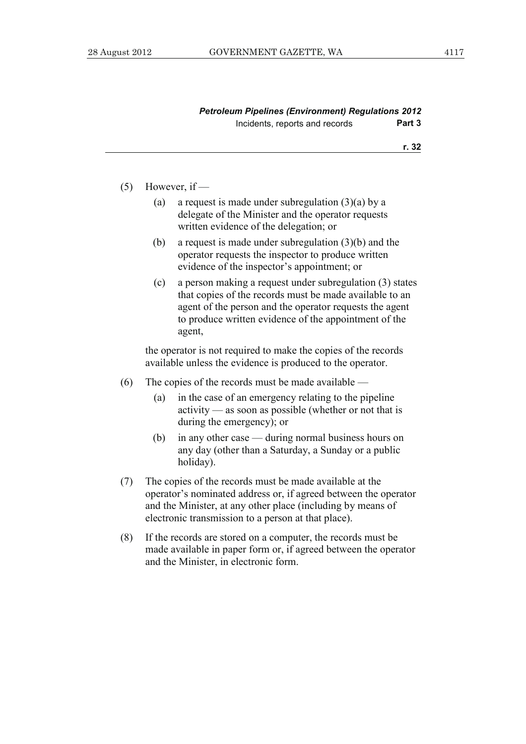| <b>Petroleum Pipelines (Environment) Regulations 2012</b> |        |
|-----------------------------------------------------------|--------|
| Incidents, reports and records                            | Part 3 |

#### **r. 32**

#### $(5)$  However, if —

- (a) a request is made under subregulation  $(3)(a)$  by a delegate of the Minister and the operator requests written evidence of the delegation; or
- (b) a request is made under subregulation (3)(b) and the operator requests the inspector to produce written evidence of the inspector's appointment; or
- (c) a person making a request under subregulation (3) states that copies of the records must be made available to an agent of the person and the operator requests the agent to produce written evidence of the appointment of the agent,

 the operator is not required to make the copies of the records available unless the evidence is produced to the operator.

- (6) The copies of the records must be made available
	- (a) in the case of an emergency relating to the pipeline activity — as soon as possible (whether or not that is during the emergency); or
	- (b) in any other case during normal business hours on any day (other than a Saturday, a Sunday or a public holiday).
- (7) The copies of the records must be made available at the operator's nominated address or, if agreed between the operator and the Minister, at any other place (including by means of electronic transmission to a person at that place).
- (8) If the records are stored on a computer, the records must be made available in paper form or, if agreed between the operator and the Minister, in electronic form.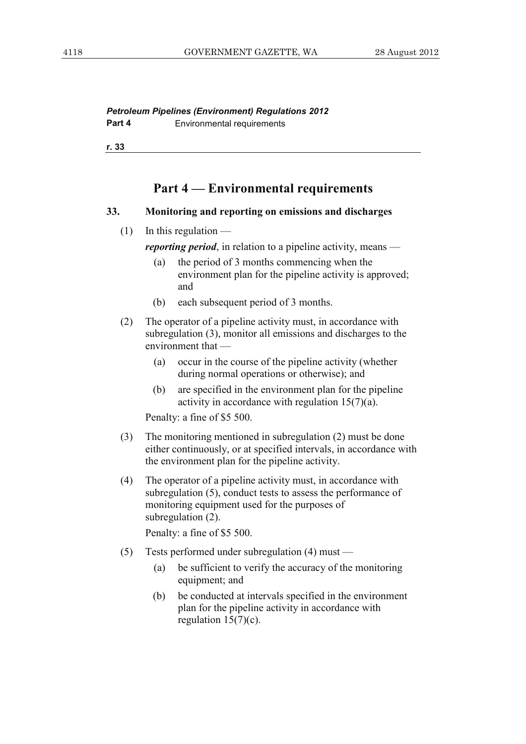*Petroleum Pipelines (Environment) Regulations 2012*  **Part 4 Environmental requirements** 

**r. 33**

# **Part 4 — Environmental requirements**

#### **33. Monitoring and reporting on emissions and discharges**

| (1) | In this regulation $-$ |
|-----|------------------------|
|-----|------------------------|

*reporting period*, in relation to a pipeline activity, means —

- (a) the period of 3 months commencing when the environment plan for the pipeline activity is approved; and
- (b) each subsequent period of 3 months.
- (2) The operator of a pipeline activity must, in accordance with subregulation (3), monitor all emissions and discharges to the environment that —
	- (a) occur in the course of the pipeline activity (whether during normal operations or otherwise); and
	- (b) are specified in the environment plan for the pipeline activity in accordance with regulation 15(7)(a).

Penalty: a fine of \$5 500.

- (3) The monitoring mentioned in subregulation (2) must be done either continuously, or at specified intervals, in accordance with the environment plan for the pipeline activity.
- (4) The operator of a pipeline activity must, in accordance with subregulation (5), conduct tests to assess the performance of monitoring equipment used for the purposes of subregulation (2).

Penalty: a fine of \$5 500.

- (5) Tests performed under subregulation (4) must
	- (a) be sufficient to verify the accuracy of the monitoring equipment; and
	- (b) be conducted at intervals specified in the environment plan for the pipeline activity in accordance with regulation  $15(7)(c)$ .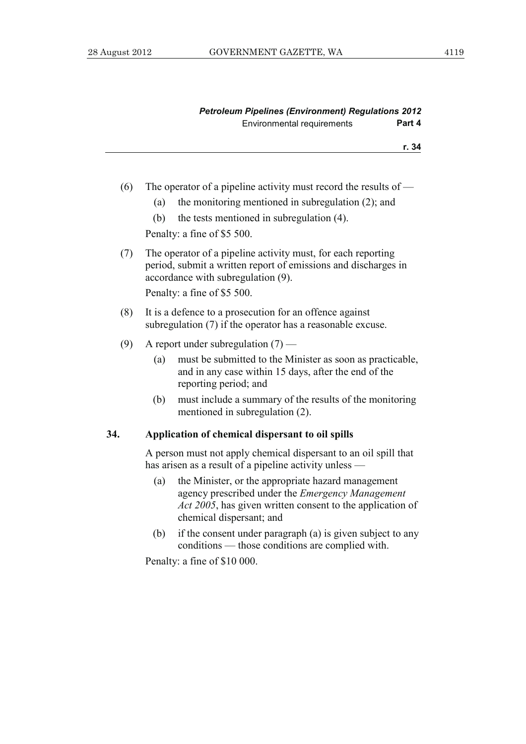**r. 34**

- (6) The operator of a pipeline activity must record the results of  $-$ 
	- (a) the monitoring mentioned in subregulation (2); and
	- (b) the tests mentioned in subregulation (4).

Penalty: a fine of \$5 500.

 (7) The operator of a pipeline activity must, for each reporting period, submit a written report of emissions and discharges in accordance with subregulation (9).

Penalty: a fine of \$5 500.

- (8) It is a defence to a prosecution for an offence against subregulation (7) if the operator has a reasonable excuse.
- (9) A report under subregulation  $(7)$ 
	- (a) must be submitted to the Minister as soon as practicable, and in any case within 15 days, after the end of the reporting period; and
	- (b) must include a summary of the results of the monitoring mentioned in subregulation (2).

# **34. Application of chemical dispersant to oil spills**

 A person must not apply chemical dispersant to an oil spill that has arisen as a result of a pipeline activity unless —

- (a) the Minister, or the appropriate hazard management agency prescribed under the *Emergency Management Act 2005*, has given written consent to the application of chemical dispersant; and
- (b) if the consent under paragraph (a) is given subject to any conditions — those conditions are complied with.

Penalty: a fine of \$10 000.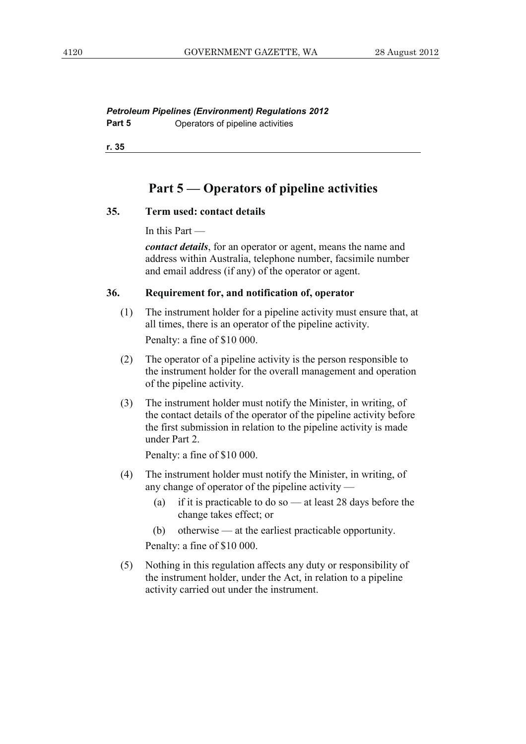*Petroleum Pipelines (Environment) Regulations 2012*  **Part 5 Operators of pipeline activities** 

**r. 35**

# **Part 5 — Operators of pipeline activities**

#### **35. Term used: contact details**

In this Part —

*contact details*, for an operator or agent, means the name and address within Australia, telephone number, facsimile number and email address (if any) of the operator or agent.

#### **36. Requirement for, and notification of, operator**

- (1) The instrument holder for a pipeline activity must ensure that, at all times, there is an operator of the pipeline activity. Penalty: a fine of \$10 000.
- (2) The operator of a pipeline activity is the person responsible to the instrument holder for the overall management and operation of the pipeline activity.
- (3) The instrument holder must notify the Minister, in writing, of the contact details of the operator of the pipeline activity before the first submission in relation to the pipeline activity is made under Part 2.

Penalty: a fine of \$10 000.

- (4) The instrument holder must notify the Minister, in writing, of any change of operator of the pipeline activity —
	- (a) if it is practicable to do so at least 28 days before the change takes effect; or
	- (b) otherwise at the earliest practicable opportunity.

Penalty: a fine of \$10 000.

 (5) Nothing in this regulation affects any duty or responsibility of the instrument holder, under the Act, in relation to a pipeline activity carried out under the instrument.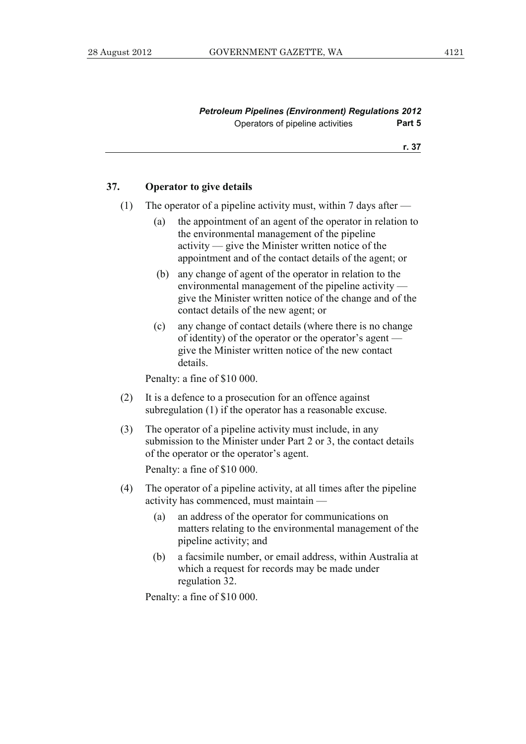**r. 37**

#### **37. Operator to give details**

- (1) The operator of a pipeline activity must, within 7 days after  $-$ 
	- (a) the appointment of an agent of the operator in relation to the environmental management of the pipeline activity — give the Minister written notice of the appointment and of the contact details of the agent; or
	- (b) any change of agent of the operator in relation to the environmental management of the pipeline activity give the Minister written notice of the change and of the contact details of the new agent; or
	- (c) any change of contact details (where there is no change of identity) of the operator or the operator's agent give the Minister written notice of the new contact details.

Penalty: a fine of \$10 000.

- (2) It is a defence to a prosecution for an offence against subregulation (1) if the operator has a reasonable excuse.
- (3) The operator of a pipeline activity must include, in any submission to the Minister under Part 2 or 3, the contact details of the operator or the operator's agent.

Penalty: a fine of \$10 000.

- (4) The operator of a pipeline activity, at all times after the pipeline activity has commenced, must maintain —
	- (a) an address of the operator for communications on matters relating to the environmental management of the pipeline activity; and
	- (b) a facsimile number, or email address, within Australia at which a request for records may be made under regulation 32.

Penalty: a fine of \$10 000.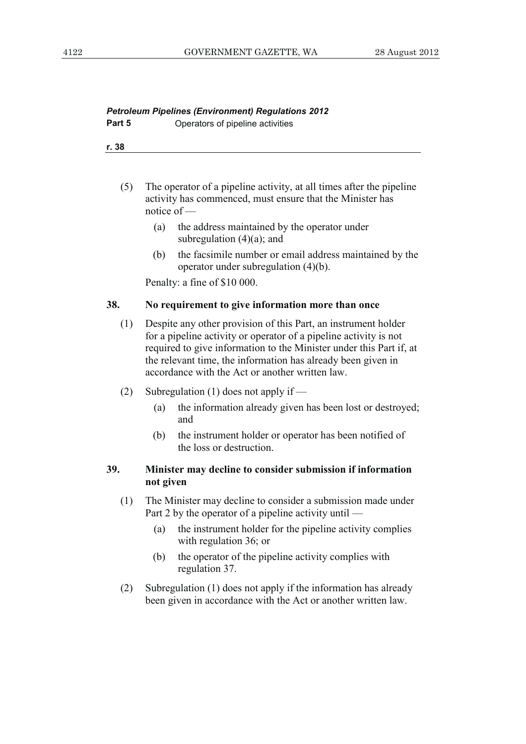|        | <b>Petroleum Pipelines (Environment) Regulations 2012</b> |
|--------|-----------------------------------------------------------|
| Part 5 | Operators of pipeline activities                          |

```
r. 38
```
- (5) The operator of a pipeline activity, at all times after the pipeline activity has commenced, must ensure that the Minister has notice of —
	- (a) the address maintained by the operator under subregulation  $(4)(a)$ ; and
	- (b) the facsimile number or email address maintained by the operator under subregulation (4)(b).

Penalty: a fine of \$10 000.

#### **38. No requirement to give information more than once**

- (1) Despite any other provision of this Part, an instrument holder for a pipeline activity or operator of a pipeline activity is not required to give information to the Minister under this Part if, at the relevant time, the information has already been given in accordance with the Act or another written law.
- (2) Subregulation (1) does not apply if
	- (a) the information already given has been lost or destroyed; and
	- (b) the instrument holder or operator has been notified of the loss or destruction.

# **39. Minister may decline to consider submission if information not given**

- (1) The Minister may decline to consider a submission made under Part 2 by the operator of a pipeline activity until —
	- (a) the instrument holder for the pipeline activity complies with regulation 36; or
	- (b) the operator of the pipeline activity complies with regulation 37.
- (2) Subregulation (1) does not apply if the information has already been given in accordance with the Act or another written law.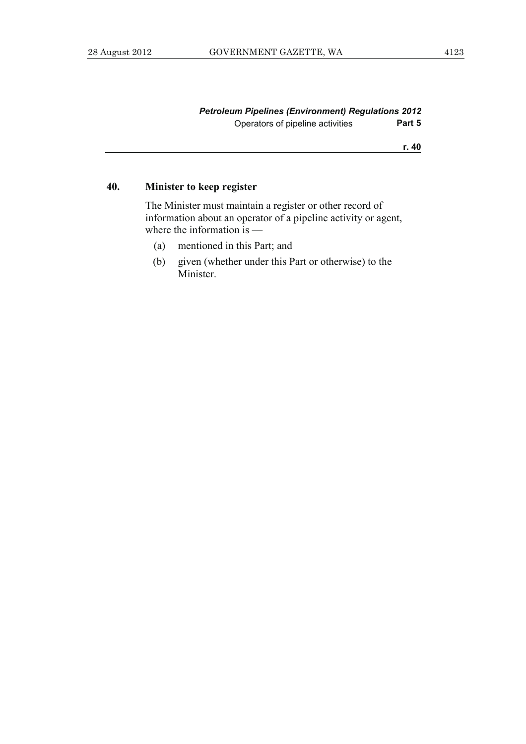**r. 40**

# **40. Minister to keep register**

 The Minister must maintain a register or other record of information about an operator of a pipeline activity or agent, where the information is —

- (a) mentioned in this Part; and
- (b) given (whether under this Part or otherwise) to the Minister.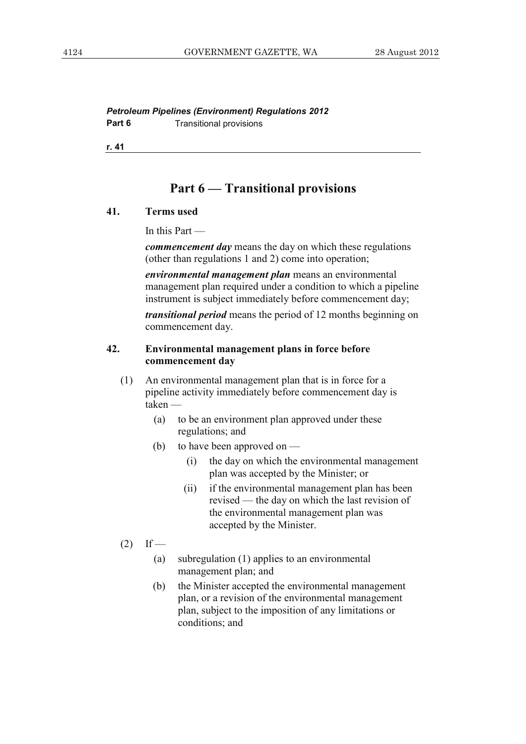*Petroleum Pipelines (Environment) Regulations 2012*  **Part 6 Transitional provisions** 

**r. 41**

# **Part 6 — Transitional provisions**

# **41. Terms used**

In this Part —

*commencement day* means the day on which these regulations (other than regulations 1 and 2) come into operation;

*environmental management plan* means an environmental management plan required under a condition to which a pipeline instrument is subject immediately before commencement day;

*transitional period* means the period of 12 months beginning on commencement day.

#### **42. Environmental management plans in force before commencement day**

- (1) An environmental management plan that is in force for a pipeline activity immediately before commencement day is taken —
	- (a) to be an environment plan approved under these regulations; and
	- (b) to have been approved on
		- (i) the day on which the environmental management plan was accepted by the Minister; or
		- (ii) if the environmental management plan has been revised — the day on which the last revision of the environmental management plan was accepted by the Minister.
- $(2)$  If
	- (a) subregulation (1) applies to an environmental management plan; and
	- (b) the Minister accepted the environmental management plan, or a revision of the environmental management plan, subject to the imposition of any limitations or conditions; and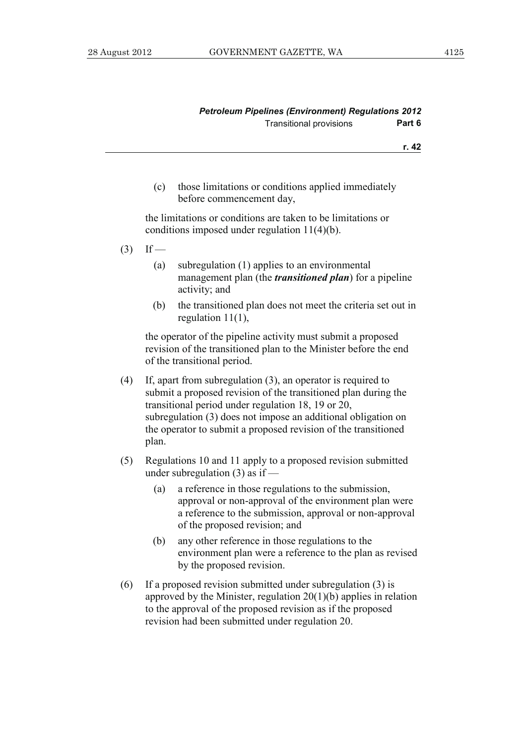| <b>Petroleum Pipelines (Environment) Regulations 2012</b> |        |
|-----------------------------------------------------------|--------|
| <b>Transitional provisions</b>                            | Part 6 |

- **r. 42**
- (c) those limitations or conditions applied immediately before commencement day,

 the limitations or conditions are taken to be limitations or conditions imposed under regulation 11(4)(b).

- $(3)$  If
	- (a) subregulation (1) applies to an environmental management plan (the *transitioned plan*) for a pipeline activity; and
	- (b) the transitioned plan does not meet the criteria set out in regulation 11(1),

 the operator of the pipeline activity must submit a proposed revision of the transitioned plan to the Minister before the end of the transitional period.

- (4) If, apart from subregulation (3), an operator is required to submit a proposed revision of the transitioned plan during the transitional period under regulation 18, 19 or 20, subregulation (3) does not impose an additional obligation on the operator to submit a proposed revision of the transitioned plan.
- (5) Regulations 10 and 11 apply to a proposed revision submitted under subregulation (3) as if —
	- (a) a reference in those regulations to the submission, approval or non-approval of the environment plan were a reference to the submission, approval or non-approval of the proposed revision; and
	- (b) any other reference in those regulations to the environment plan were a reference to the plan as revised by the proposed revision.
- (6) If a proposed revision submitted under subregulation (3) is approved by the Minister, regulation 20(1)(b) applies in relation to the approval of the proposed revision as if the proposed revision had been submitted under regulation 20.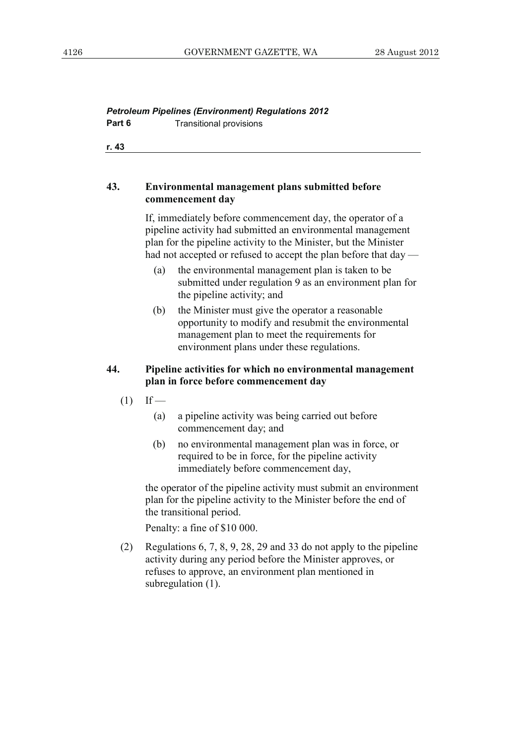# *Petroleum Pipelines (Environment) Regulations 2012*  **Part 6 Transitional provisions**

**r. 43**

# **43. Environmental management plans submitted before commencement day**

 If, immediately before commencement day, the operator of a pipeline activity had submitted an environmental management plan for the pipeline activity to the Minister, but the Minister had not accepted or refused to accept the plan before that day —

- (a) the environmental management plan is taken to be submitted under regulation 9 as an environment plan for the pipeline activity; and
- (b) the Minister must give the operator a reasonable opportunity to modify and resubmit the environmental management plan to meet the requirements for environment plans under these regulations.

# **44. Pipeline activities for which no environmental management plan in force before commencement day**

- $(1)$  If
	- (a) a pipeline activity was being carried out before commencement day; and
	- (b) no environmental management plan was in force, or required to be in force, for the pipeline activity immediately before commencement day,

 the operator of the pipeline activity must submit an environment plan for the pipeline activity to the Minister before the end of the transitional period.

Penalty: a fine of \$10 000.

 (2) Regulations 6, 7, 8, 9, 28, 29 and 33 do not apply to the pipeline activity during any period before the Minister approves, or refuses to approve, an environment plan mentioned in subregulation  $(1)$ .